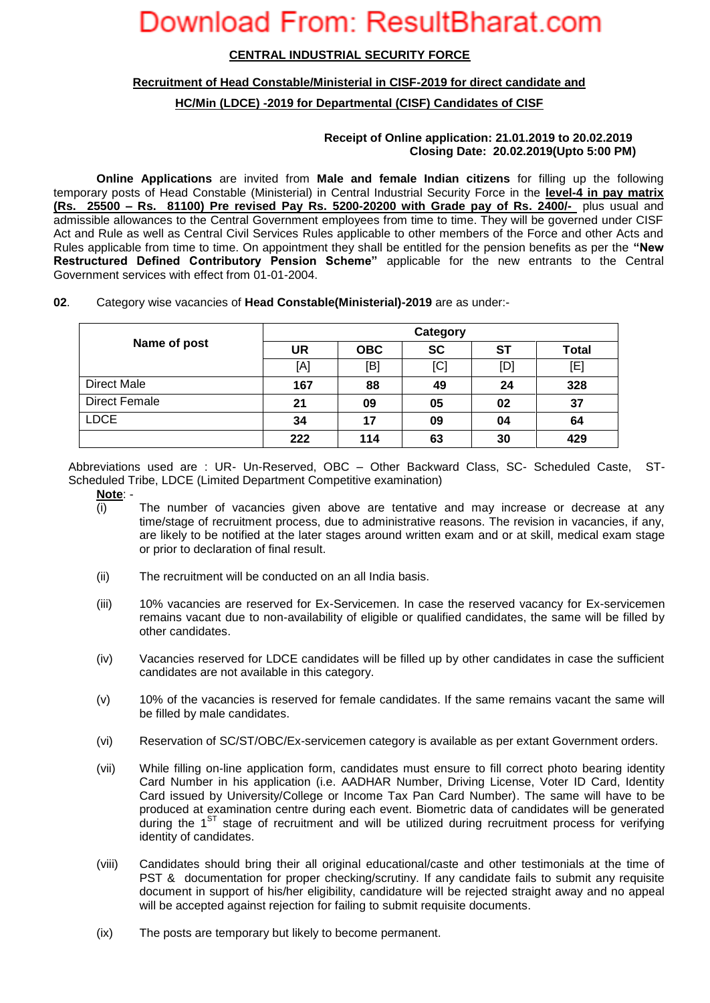### **CENTRAL INDUSTRIAL SECURITY FORCE**

### **Recruitment of Head Constable/Ministerial in CISF-2019 for direct candidate and**

## **HC/Min (LDCE) -2019 for Departmental (CISF) Candidates of CISF**

### **Receipt of Online application: 21.01.2019 to 20.02.2019 Closing Date: 20.02.2019(Upto 5:00 PM)**

**Online Applications** are invited from **Male and female Indian citizens** for filling up the following temporary posts of Head Constable (Ministerial) in Central Industrial Security Force in the **level-4 in pay matrix (Rs. 25500 – Rs. 81100) Pre revised Pay Rs. 5200-20200 with Grade pay of Rs. 2400/-** plus usual and admissible allowances to the Central Government employees from time to time. They will be governed under CISF Act and Rule as well as Central Civil Services Rules applicable to other members of the Force and other Acts and Rules applicable from time to time. On appointment they shall be entitled for the pension benefits as per the **"New Restructured Defined Contributory Pension Scheme"** applicable for the new entrants to the Central Government services with effect from 01-01-2004.

| 02. |  |  |  | Category wise vacancies of Head Constable(Ministerial)-2019 are as under:- |
|-----|--|--|--|----------------------------------------------------------------------------|
|-----|--|--|--|----------------------------------------------------------------------------|

|               | Category |            |           |           |              |  |
|---------------|----------|------------|-----------|-----------|--------------|--|
| Name of post  | UR       | <b>OBC</b> | <b>SC</b> | <b>ST</b> | <b>Total</b> |  |
|               | [A]      | [B]        | [C]       | [D]       | [E]          |  |
| Direct Male   | 167      | 88         | 49        | 24        | 328          |  |
| Direct Female | 21       | 09         | 05        | 02        | 37           |  |
| <b>LDCE</b>   | 34       | 17         | 09        | 04        | 64           |  |
|               | 222      | 114        | 63        | 30        | 429          |  |

Abbreviations used are : UR- Un-Reserved, OBC – Other Backward Class, SC- Scheduled Caste, ST-Scheduled Tribe, LDCE (Limited Department Competitive examination)

- **Note**: -
- (i) The number of vacancies given above are tentative and may increase or decrease at any time/stage of recruitment process, due to administrative reasons. The revision in vacancies, if any, are likely to be notified at the later stages around written exam and or at skill, medical exam stage or prior to declaration of final result.
- (ii) The recruitment will be conducted on an all India basis.
- (iii) 10% vacancies are reserved for Ex-Servicemen. In case the reserved vacancy for Ex-servicemen remains vacant due to non-availability of eligible or qualified candidates, the same will be filled by other candidates.
- (iv) Vacancies reserved for LDCE candidates will be filled up by other candidates in case the sufficient candidates are not available in this category.
- (v) 10% of the vacancies is reserved for female candidates. If the same remains vacant the same will be filled by male candidates.
- (vi) Reservation of SC/ST/OBC/Ex-servicemen category is available as per extant Government orders.
- (vii) While filling on-line application form, candidates must ensure to fill correct photo bearing identity Card Number in his application (i.e. AADHAR Number, Driving License, Voter ID Card, Identity Card issued by University/College or Income Tax Pan Card Number). The same will have to be produced at examination centre during each event. Biometric data of candidates will be generated during the 1ST stage of recruitment and will be utilized during recruitment process for verifying identity of candidates.
- (viii) Candidates should bring their all original educational/caste and other testimonials at the time of PST & documentation for proper checking/scrutiny. If any candidate fails to submit any requisite document in support of his/her eligibility, candidature will be rejected straight away and no appeal will be accepted against rejection for failing to submit requisite documents.
- (ix) The posts are temporary but likely to become permanent.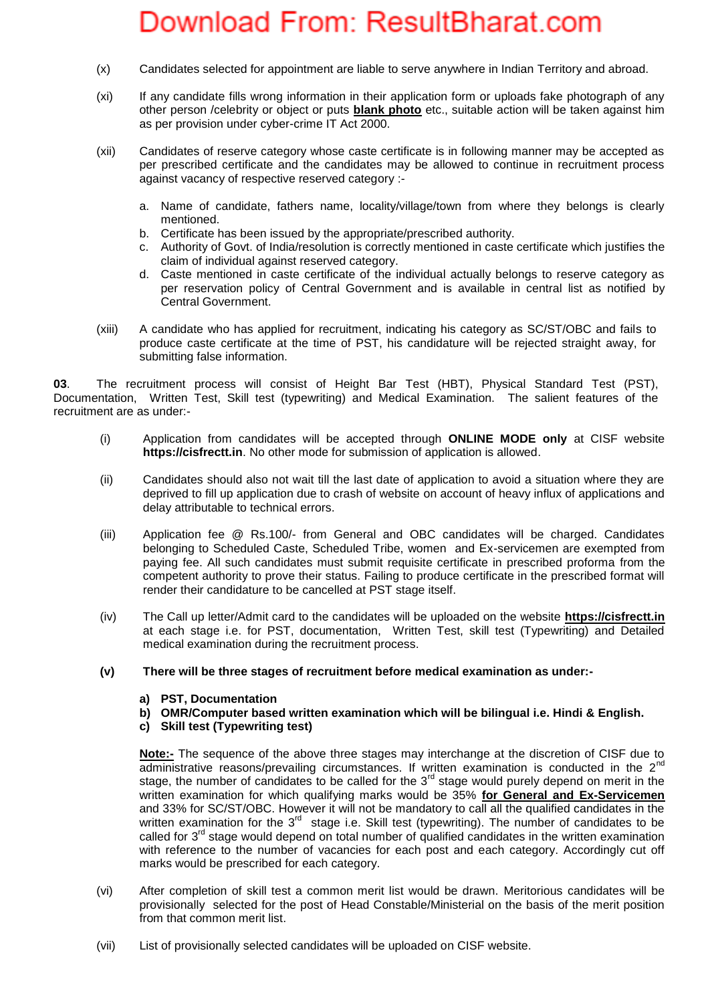- (x) Candidates selected for appointment are liable to serve anywhere in Indian Territory and abroad.
- (xi) If any candidate fills wrong information in their application form or uploads fake photograph of any other person /celebrity or object or puts **blank photo** etc., suitable action will be taken against him as per provision under cyber-crime IT Act 2000.
- (xii) Candidates of reserve category whose caste certificate is in following manner may be accepted as per prescribed certificate and the candidates may be allowed to continue in recruitment process against vacancy of respective reserved category :
	- a. Name of candidate, fathers name, locality/village/town from where they belongs is clearly mentioned.
	- b. Certificate has been issued by the appropriate/prescribed authority.
	- c. Authority of Govt. of India/resolution is correctly mentioned in caste certificate which justifies the claim of individual against reserved category.
	- d. Caste mentioned in caste certificate of the individual actually belongs to reserve category as per reservation policy of Central Government and is available in central list as notified by Central Government.
- (xiii) A candidate who has applied for recruitment, indicating his category as SC/ST/OBC and fails to produce caste certificate at the time of PST, his candidature will be rejected straight away, for submitting false information.

**03**. The recruitment process will consist of Height Bar Test (HBT), Physical Standard Test (PST), Documentation, Written Test, Skill test (typewriting) and Medical Examination. The salient features of the recruitment are as under:-

- (i) Application from candidates will be accepted through **ONLINE MODE only** at CISF website **https://cisfrectt.in**. No other mode for submission of application is allowed.
- (ii) Candidates should also not wait till the last date of application to avoid a situation where they are deprived to fill up application due to crash of website on account of heavy influx of applications and delay attributable to technical errors.
- (iii) Application fee @ Rs.100/- from General and OBC candidates will be charged. Candidates belonging to Scheduled Caste, Scheduled Tribe, women and Ex-servicemen are exempted from paying fee. All such candidates must submit requisite certificate in prescribed proforma from the competent authority to prove their status. Failing to produce certificate in the prescribed format will render their candidature to be cancelled at PST stage itself.
- (iv) The Call up letter/Admit card to the candidates will be uploaded on the website **https://cisfrectt.in** at each stage i.e. for PST, documentation, Written Test, skill test (Typewriting) and Detailed medical examination during the recruitment process.
- **(v) There will be three stages of recruitment before medical examination as under:**
	- **a) PST, Documentation**
	- **b) OMR/Computer based written examination which will be bilingual i.e. Hindi & English.**
	- **c) Skill test (Typewriting test)**

**Note:-** The sequence of the above three stages may interchange at the discretion of CISF due to administrative reasons/prevailing circumstances. If written examination is conducted in the 2<sup>nd</sup> stage, the number of candidates to be called for the  $3<sup>rd</sup>$  stage would purely depend on merit in the written examination for which qualifying marks would be 35% **for General and Ex-Servicemen** and 33% for SC/ST/OBC. However it will not be mandatory to call all the qualified candidates in the written examination for the  $3<sup>rd</sup>$  stage i.e. Skill test (typewriting). The number of candidates to be called for  $3<sup>rd</sup>$  stage would depend on total number of qualified candidates in the written examination with reference to the number of vacancies for each post and each category. Accordingly cut off marks would be prescribed for each category.

- (vi) After completion of skill test a common merit list would be drawn. Meritorious candidates will be provisionally selected for the post of Head Constable/Ministerial on the basis of the merit position from that common merit list.
- (vii) List of provisionally selected candidates will be uploaded on CISF website.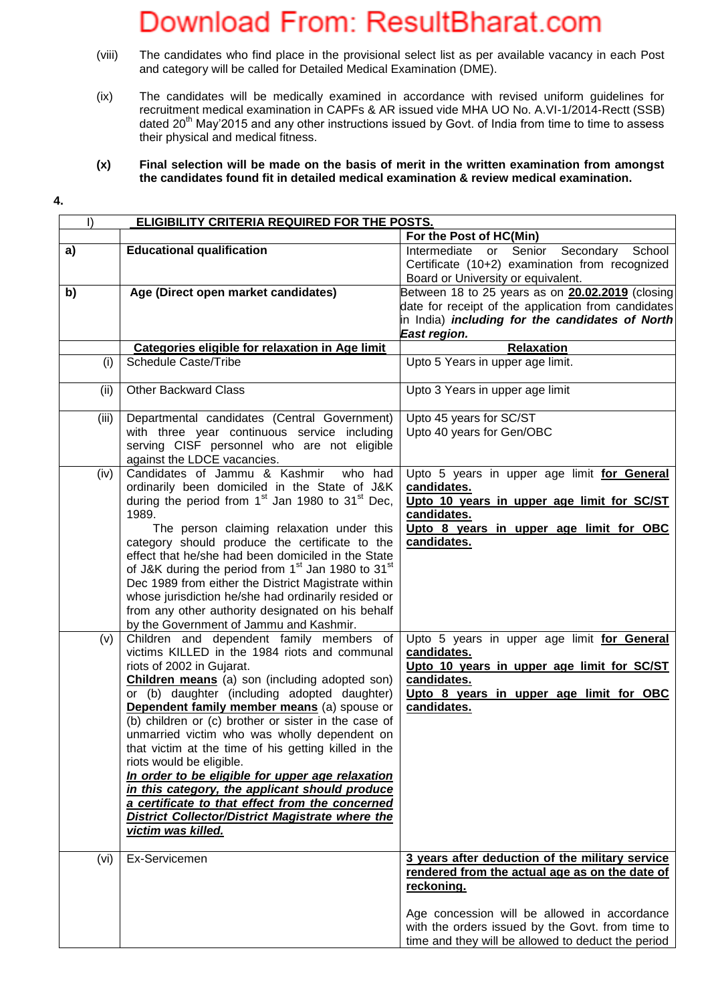- (viii) The candidates who find place in the provisional select list as per available vacancy in each Post and category will be called for Detailed Medical Examination (DME).
- (ix) The candidates will be medically examined in accordance with revised uniform guidelines for recruitment medical examination in CAPFs & AR issued vide MHA UO No. A.VI-1/2014-Rectt (SSB) dated 20<sup>th</sup> May'2015 and any other instructions issued by Govt. of India from time to time to assess their physical and medical fitness.

### **(x) Final selection will be made on the basis of merit in the written examination from amongst the candidates found fit in detailed medical examination & review medical examination.**

**4.**

| $\vert$ )<br>ELIGIBILITY CRITERIA REQUIRED FOR THE POSTS. |                                                                                                     |                                                                                                  |  |  |
|-----------------------------------------------------------|-----------------------------------------------------------------------------------------------------|--------------------------------------------------------------------------------------------------|--|--|
|                                                           |                                                                                                     | For the Post of HC(Min)                                                                          |  |  |
| a)                                                        | <b>Educational qualification</b>                                                                    | Intermediate or Senior Secondary<br>School                                                       |  |  |
|                                                           |                                                                                                     | Certificate (10+2) examination from recognized                                                   |  |  |
|                                                           |                                                                                                     | Board or University or equivalent.                                                               |  |  |
| b)                                                        | Age (Direct open market candidates)                                                                 | Between 18 to 25 years as on <b>20.02.2019</b> (closing                                          |  |  |
|                                                           |                                                                                                     | date for receipt of the application from candidates                                              |  |  |
|                                                           |                                                                                                     | in India) <i>including for the candidates of North</i>                                           |  |  |
|                                                           |                                                                                                     | East region.                                                                                     |  |  |
|                                                           | Categories eligible for relaxation in Age limit                                                     | Relaxation                                                                                       |  |  |
| (i)                                                       | <b>Schedule Caste/Tribe</b>                                                                         | Upto 5 Years in upper age limit.                                                                 |  |  |
| (ii)                                                      | <b>Other Backward Class</b>                                                                         | Upto 3 Years in upper age limit                                                                  |  |  |
| (iii)                                                     | Departmental candidates (Central Government)                                                        | Upto 45 years for SC/ST                                                                          |  |  |
|                                                           | with three year continuous service including                                                        | Upto 40 years for Gen/OBC                                                                        |  |  |
|                                                           | serving CISF personnel who are not eligible                                                         |                                                                                                  |  |  |
|                                                           | against the LDCE vacancies.                                                                         |                                                                                                  |  |  |
| (iv)                                                      | Candidates of Jammu & Kashmir<br>who had                                                            | Upto 5 years in upper age limit for General                                                      |  |  |
|                                                           | ordinarily been domiciled in the State of J&K                                                       | candidates.                                                                                      |  |  |
|                                                           | during the period from 1 <sup>st</sup> Jan 1980 to 31 <sup>st</sup> Dec,<br>1989.                   | Upto 10 years in upper age limit for SC/ST<br>candidates.                                        |  |  |
|                                                           | The person claiming relaxation under this                                                           |                                                                                                  |  |  |
|                                                           | category should produce the certificate to the                                                      | Upto 8 years in upper age limit for OBC<br>candidates.                                           |  |  |
|                                                           | effect that he/she had been domiciled in the State                                                  |                                                                                                  |  |  |
|                                                           | of J&K during the period from 1 <sup>st</sup> Jan 1980 to 31 <sup>st</sup>                          |                                                                                                  |  |  |
|                                                           | Dec 1989 from either the District Magistrate within                                                 |                                                                                                  |  |  |
|                                                           | whose jurisdiction he/she had ordinarily resided or                                                 |                                                                                                  |  |  |
|                                                           | from any other authority designated on his behalf                                                   |                                                                                                  |  |  |
|                                                           | by the Government of Jammu and Kashmir.                                                             |                                                                                                  |  |  |
| (v)                                                       | Children and dependent family members of                                                            | Upto 5 years in upper age limit for General                                                      |  |  |
|                                                           | victims KILLED in the 1984 riots and communal                                                       | candidates.                                                                                      |  |  |
|                                                           | riots of 2002 in Gujarat.                                                                           | Upto 10 years in upper age limit for SC/ST                                                       |  |  |
|                                                           | <b>Children means</b> (a) son (including adopted son)                                               | candidates.                                                                                      |  |  |
|                                                           | or (b) daughter (including adopted daughter)                                                        | Upto 8 years in upper age limit for OBC                                                          |  |  |
|                                                           | Dependent family member means (a) spouse or<br>(b) children or (c) brother or sister in the case of | candidates.                                                                                      |  |  |
|                                                           | unmarried victim who was wholly dependent on                                                        |                                                                                                  |  |  |
|                                                           | that victim at the time of his getting killed in the                                                |                                                                                                  |  |  |
|                                                           | riots would be eligible.                                                                            |                                                                                                  |  |  |
|                                                           | In order to be eligible for upper age relaxation                                                    |                                                                                                  |  |  |
|                                                           | in this category, the applicant should produce                                                      |                                                                                                  |  |  |
|                                                           | a certificate to that effect from the concerned                                                     |                                                                                                  |  |  |
|                                                           | <b>District Collector/District Magistrate where the</b>                                             |                                                                                                  |  |  |
|                                                           | victim was killed.                                                                                  |                                                                                                  |  |  |
|                                                           |                                                                                                     |                                                                                                  |  |  |
| (vi)                                                      | Ex-Servicemen                                                                                       | 3 years after deduction of the military service                                                  |  |  |
|                                                           |                                                                                                     | rendered from the actual age as on the date of                                                   |  |  |
|                                                           |                                                                                                     | reckoning.                                                                                       |  |  |
|                                                           |                                                                                                     |                                                                                                  |  |  |
|                                                           |                                                                                                     | Age concession will be allowed in accordance<br>with the orders issued by the Govt. from time to |  |  |
|                                                           |                                                                                                     | time and they will be allowed to deduct the period                                               |  |  |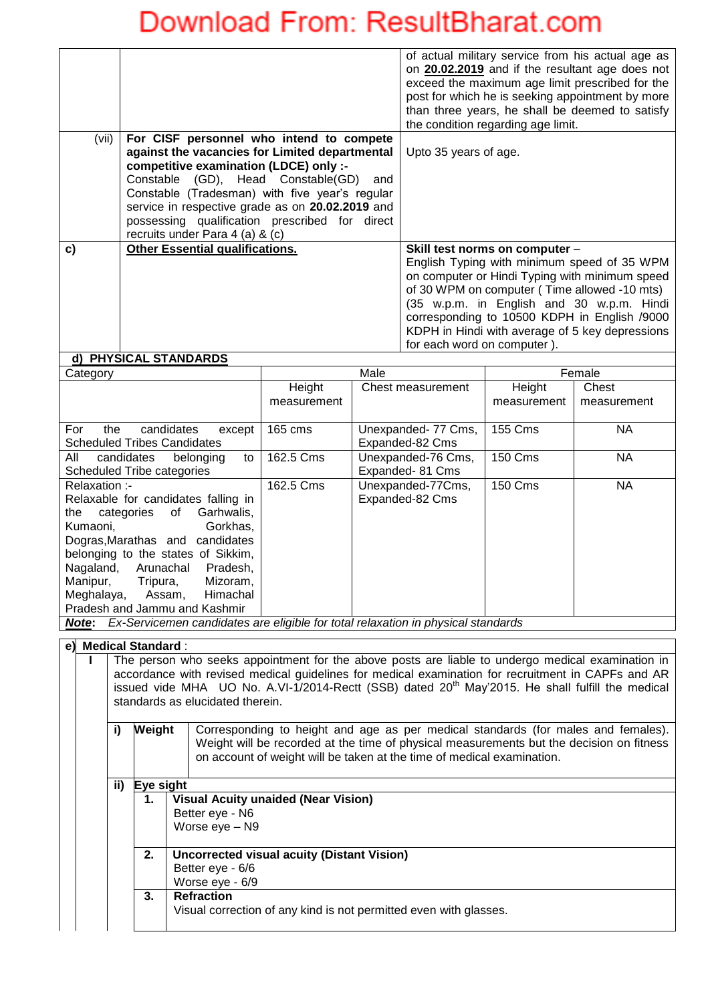|       |                                                  | of actual military service from his actual age as                                                   |
|-------|--------------------------------------------------|-----------------------------------------------------------------------------------------------------|
|       |                                                  | on 20.02.2019 and if the resultant age does not                                                     |
|       |                                                  | exceed the maximum age limit prescribed for the<br>post for which he is seeking appointment by more |
|       |                                                  | than three years, he shall be deemed to satisfy                                                     |
|       |                                                  | the condition regarding age limit.                                                                  |
| (vii) | For CISF personnel who intend to compete         |                                                                                                     |
|       | against the vacancies for Limited departmental   | Upto 35 years of age.                                                                               |
|       | competitive examination (LDCE) only :-           |                                                                                                     |
|       | Constable (GD), Head Constable(GD)<br>and        |                                                                                                     |
|       | Constable (Tradesman) with five year's regular   |                                                                                                     |
|       | service in respective grade as on 20.02.2019 and |                                                                                                     |
|       | possessing qualification prescribed for direct   |                                                                                                     |
|       | recruits under Para 4 (a) & (c)                  |                                                                                                     |
| C)    | <b>Other Essential qualifications.</b>           | Skill test norms on computer -                                                                      |
|       |                                                  | English Typing with minimum speed of 35 WPM                                                         |
|       |                                                  | on computer or Hindi Typing with minimum speed                                                      |
|       |                                                  | of 30 WPM on computer (Time allowed -10 mts)                                                        |
|       |                                                  | (35 w.p.m. in English and 30 w.p.m. Hindi                                                           |
|       |                                                  | corresponding to 10500 KDPH in English /9000                                                        |
|       |                                                  | KDPH in Hindi with average of 5 key depressions                                                     |
|       |                                                  | for each word on computer).                                                                         |
|       | d) PHYSICAL STANDARDS                            |                                                                                                     |

#### Category | Male | Female **Height** measurement Chest measurement | Height measurement Chest measurement For the candidates except Scheduled Tribes Candidates 165 cms Unexpanded- 77 Cms, Expanded-82 Cms 155 Cms NA All candidates belonging to Scheduled Tribe categories 162.5 Cms | Unexpanded-76 Cms, Expanded- 81 Cms 150 Cms | NA Relaxation :- Relaxable for candidates falling in the categories of Garhwalis, Kumaoni, Gorkhas, Dogras,Marathas and candidates belonging to the states of Sikkim, Nagaland, Arunachal Pradesh, Manipur, Tripura, Mizoram,<br>Meghalaya, Assam, Himachal Meghalaya, Pradesh and Jammu and Kashmir 162.5 Cms Unexpanded-77Cms, Expanded-82 Cms 150 Cms NA *Note***:** *Ex-Servicemen candidates are eligible for total relaxation in physical standards*

### **e)** Me

|                                                                                                                                                                                                                                                                                                                                                             | Medical Standard : |                                                                   |  |  |
|-------------------------------------------------------------------------------------------------------------------------------------------------------------------------------------------------------------------------------------------------------------------------------------------------------------------------------------------------------------|--------------------|-------------------------------------------------------------------|--|--|
| The person who seeks appointment for the above posts are liable to undergo medical examination in<br>accordance with revised medical guidelines for medical examination for recruitment in CAPFs and AR<br>issued vide MHA UO No. A.VI-1/2014-Rectt (SSB) dated 20 <sup>th</sup> May'2015. He shall fulfill the medical<br>standards as elucidated therein. |                    |                                                                   |  |  |
| Weight<br>Corresponding to height and age as per medical standards (for males and females).<br>i)<br>Weight will be recorded at the time of physical measurements but the decision on fitness<br>on account of weight will be taken at the time of medical examination.                                                                                     |                    |                                                                   |  |  |
| ii)<br>Eye sight                                                                                                                                                                                                                                                                                                                                            |                    |                                                                   |  |  |
| <b>Visual Acuity unaided (Near Vision)</b><br>1.                                                                                                                                                                                                                                                                                                            |                    |                                                                   |  |  |
|                                                                                                                                                                                                                                                                                                                                                             |                    | Better eye - N6                                                   |  |  |
| Worse eye - N9                                                                                                                                                                                                                                                                                                                                              |                    |                                                                   |  |  |
| 2.<br><b>Uncorrected visual acuity (Distant Vision)</b>                                                                                                                                                                                                                                                                                                     |                    |                                                                   |  |  |
| Better eye - 6/6                                                                                                                                                                                                                                                                                                                                            |                    |                                                                   |  |  |
| Worse eye - 6/9                                                                                                                                                                                                                                                                                                                                             |                    |                                                                   |  |  |
|                                                                                                                                                                                                                                                                                                                                                             | 3.                 | <b>Refraction</b>                                                 |  |  |
|                                                                                                                                                                                                                                                                                                                                                             |                    | Visual correction of any kind is not permitted even with glasses. |  |  |
|                                                                                                                                                                                                                                                                                                                                                             |                    |                                                                   |  |  |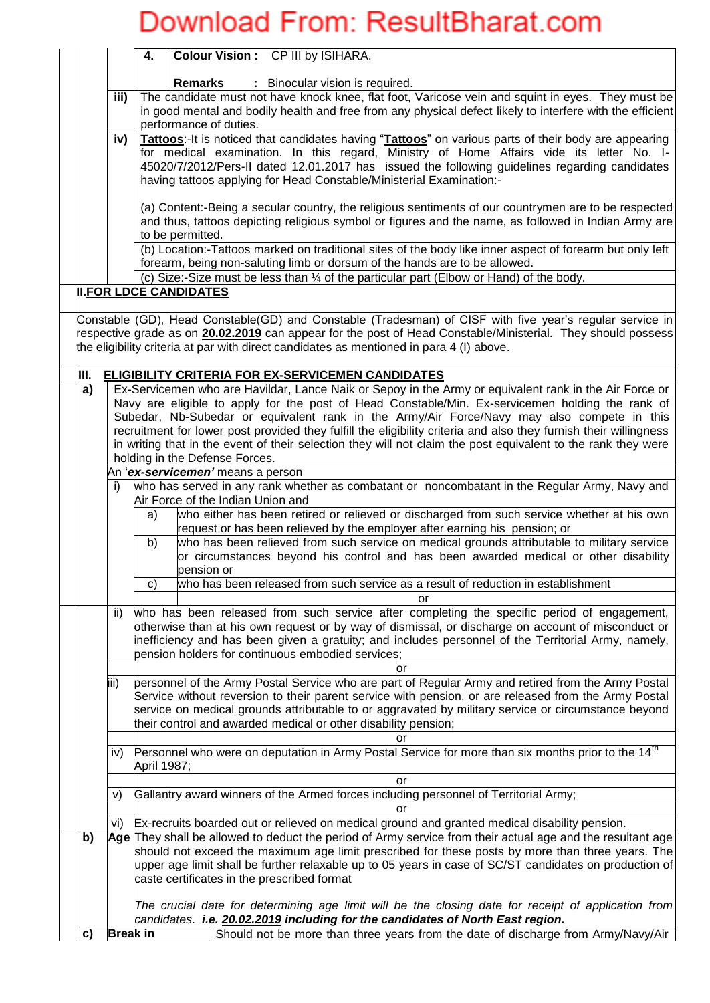|                                                                                                                                          |      |                                                                                                                                                                                                                                                                                                                                                                                                                                                                                                                                                | Colour Vision: CP III by ISIHARA.<br>4.                                                                                                                                                                                                                                                                                                                                                                                                                                  |  |  |  |  |
|------------------------------------------------------------------------------------------------------------------------------------------|------|------------------------------------------------------------------------------------------------------------------------------------------------------------------------------------------------------------------------------------------------------------------------------------------------------------------------------------------------------------------------------------------------------------------------------------------------------------------------------------------------------------------------------------------------|--------------------------------------------------------------------------------------------------------------------------------------------------------------------------------------------------------------------------------------------------------------------------------------------------------------------------------------------------------------------------------------------------------------------------------------------------------------------------|--|--|--|--|
|                                                                                                                                          |      |                                                                                                                                                                                                                                                                                                                                                                                                                                                                                                                                                | <b>Remarks</b><br>: Binocular vision is required.                                                                                                                                                                                                                                                                                                                                                                                                                        |  |  |  |  |
|                                                                                                                                          |      | The candidate must not have knock knee, flat foot, Varicose vein and squint in eyes. They must be<br>in good mental and bodily health and free from any physical defect likely to interfere with the efficient<br>performance of duties.                                                                                                                                                                                                                                                                                                       |                                                                                                                                                                                                                                                                                                                                                                                                                                                                          |  |  |  |  |
|                                                                                                                                          |      | Tattoos:-It is noticed that candidates having "Tattoos" on various parts of their body are appearing<br>iv)<br>for medical examination. In this regard, Ministry of Home Affairs vide its letter No. I-<br>45020/7/2012/Pers-II dated 12.01.2017 has issued the following guidelines regarding candidates<br>having tattoos applying for Head Constable/Ministerial Examination:-                                                                                                                                                              |                                                                                                                                                                                                                                                                                                                                                                                                                                                                          |  |  |  |  |
|                                                                                                                                          |      | (a) Content:-Being a secular country, the religious sentiments of our countrymen are to be respected<br>and thus, tattoos depicting religious symbol or figures and the name, as followed in Indian Army are<br>to be permitted.                                                                                                                                                                                                                                                                                                               |                                                                                                                                                                                                                                                                                                                                                                                                                                                                          |  |  |  |  |
|                                                                                                                                          |      |                                                                                                                                                                                                                                                                                                                                                                                                                                                                                                                                                | (b) Location:-Tattoos marked on traditional sites of the body like inner aspect of forearm but only left<br>forearm, being non-saluting limb or dorsum of the hands are to be allowed.                                                                                                                                                                                                                                                                                   |  |  |  |  |
|                                                                                                                                          |      |                                                                                                                                                                                                                                                                                                                                                                                                                                                                                                                                                | (c) Size:-Size must be less than 1/4 of the particular part (Elbow or Hand) of the body.<br><b>II.FOR LDCE CANDIDATES</b>                                                                                                                                                                                                                                                                                                                                                |  |  |  |  |
|                                                                                                                                          |      |                                                                                                                                                                                                                                                                                                                                                                                                                                                                                                                                                |                                                                                                                                                                                                                                                                                                                                                                                                                                                                          |  |  |  |  |
|                                                                                                                                          |      |                                                                                                                                                                                                                                                                                                                                                                                                                                                                                                                                                | Constable (GD), Head Constable(GD) and Constable (Tradesman) of CISF with five year's regular service in<br>respective grade as on 20.02.2019 can appear for the post of Head Constable/Ministerial. They should possess<br>the eligibility criteria at par with direct candidates as mentioned in para 4 (I) above.                                                                                                                                                     |  |  |  |  |
|                                                                                                                                          | III. |                                                                                                                                                                                                                                                                                                                                                                                                                                                                                                                                                | <b>ELIGIBILITY CRITERIA FOR EX-SERVICEMEN CANDIDATES</b>                                                                                                                                                                                                                                                                                                                                                                                                                 |  |  |  |  |
|                                                                                                                                          | a)   | Ex-Servicemen who are Havildar, Lance Naik or Sepoy in the Army or equivalent rank in the Air Force or<br>Navy are eligible to apply for the post of Head Constable/Min. Ex-servicemen holding the rank of<br>Subedar, Nb-Subedar or equivalent rank in the Army/Air Force/Navy may also compete in this<br>recruitment for lower post provided they fulfill the eligibility criteria and also they furnish their willingness<br>in writing that in the event of their selection they will not claim the post equivalent to the rank they were |                                                                                                                                                                                                                                                                                                                                                                                                                                                                          |  |  |  |  |
|                                                                                                                                          |      |                                                                                                                                                                                                                                                                                                                                                                                                                                                                                                                                                | holding in the Defense Forces.                                                                                                                                                                                                                                                                                                                                                                                                                                           |  |  |  |  |
|                                                                                                                                          |      |                                                                                                                                                                                                                                                                                                                                                                                                                                                                                                                                                | An 'ex-servicemen' means a person                                                                                                                                                                                                                                                                                                                                                                                                                                        |  |  |  |  |
| who has served in any rank whether as combatant or noncombatant in the Regular Army, Navy and<br>i)<br>Air Force of the Indian Union and |      |                                                                                                                                                                                                                                                                                                                                                                                                                                                                                                                                                |                                                                                                                                                                                                                                                                                                                                                                                                                                                                          |  |  |  |  |
| a)                                                                                                                                       |      |                                                                                                                                                                                                                                                                                                                                                                                                                                                                                                                                                | who either has been retired or relieved or discharged from such service whether at his own<br>request or has been relieved by the employer after earning his pension; or                                                                                                                                                                                                                                                                                                 |  |  |  |  |
|                                                                                                                                          |      |                                                                                                                                                                                                                                                                                                                                                                                                                                                                                                                                                | who has been relieved from such service on medical grounds attributable to military service<br>b)<br>or circumstances beyond his control and has been awarded medical or other disability<br>pension or                                                                                                                                                                                                                                                                  |  |  |  |  |
|                                                                                                                                          |      |                                                                                                                                                                                                                                                                                                                                                                                                                                                                                                                                                | who has been released from such service as a result of reduction in establishment<br>C)                                                                                                                                                                                                                                                                                                                                                                                  |  |  |  |  |
|                                                                                                                                          |      | ii)                                                                                                                                                                                                                                                                                                                                                                                                                                                                                                                                            | who has been released from such service after completing the specific period of engagement,<br>otherwise than at his own request or by way of dismissal, or discharge on account of misconduct or<br>inefficiency and has been given a gratuity; and includes personnel of the Territorial Army, namely,<br>pension holders for continuous embodied services;                                                                                                            |  |  |  |  |
|                                                                                                                                          |      | liii)                                                                                                                                                                                                                                                                                                                                                                                                                                                                                                                                          | or<br>personnel of the Army Postal Service who are part of Regular Army and retired from the Army Postal                                                                                                                                                                                                                                                                                                                                                                 |  |  |  |  |
| their control and awarded medical or other disability pension;                                                                           |      |                                                                                                                                                                                                                                                                                                                                                                                                                                                                                                                                                | Service without reversion to their parent service with pension, or are released from the Army Postal<br>service on medical grounds attributable to or aggravated by military service or circumstance beyond                                                                                                                                                                                                                                                              |  |  |  |  |
|                                                                                                                                          |      |                                                                                                                                                                                                                                                                                                                                                                                                                                                                                                                                                | or                                                                                                                                                                                                                                                                                                                                                                                                                                                                       |  |  |  |  |
| Personnel who were on deputation in Army Postal Service for more than six months prior to the 14 <sup>th</sup><br>IV)<br>April 1987;     |      |                                                                                                                                                                                                                                                                                                                                                                                                                                                                                                                                                | or                                                                                                                                                                                                                                                                                                                                                                                                                                                                       |  |  |  |  |
|                                                                                                                                          |      | V)                                                                                                                                                                                                                                                                                                                                                                                                                                                                                                                                             | Gallantry award winners of the Armed forces including personnel of Territorial Army;                                                                                                                                                                                                                                                                                                                                                                                     |  |  |  |  |
|                                                                                                                                          |      |                                                                                                                                                                                                                                                                                                                                                                                                                                                                                                                                                | or                                                                                                                                                                                                                                                                                                                                                                                                                                                                       |  |  |  |  |
|                                                                                                                                          | b)   | Vi)                                                                                                                                                                                                                                                                                                                                                                                                                                                                                                                                            | Ex-recruits boarded out or relieved on medical ground and granted medical disability pension.<br>Age They shall be allowed to deduct the period of Army service from their actual age and the resultant age<br>should not exceed the maximum age limit prescribed for these posts by more than three years. The<br>upper age limit shall be further relaxable up to 05 years in case of SC/ST candidates on production of<br>caste certificates in the prescribed format |  |  |  |  |
|                                                                                                                                          |      |                                                                                                                                                                                                                                                                                                                                                                                                                                                                                                                                                | The crucial date for determining age limit will be the closing date for receipt of application from<br>candidates. i.e. 20.02.2019 including for the candidates of North East region.                                                                                                                                                                                                                                                                                    |  |  |  |  |
|                                                                                                                                          | c)   | <b>Break in</b>                                                                                                                                                                                                                                                                                                                                                                                                                                                                                                                                | Should not be more than three years from the date of discharge from Army/Navy/Air                                                                                                                                                                                                                                                                                                                                                                                        |  |  |  |  |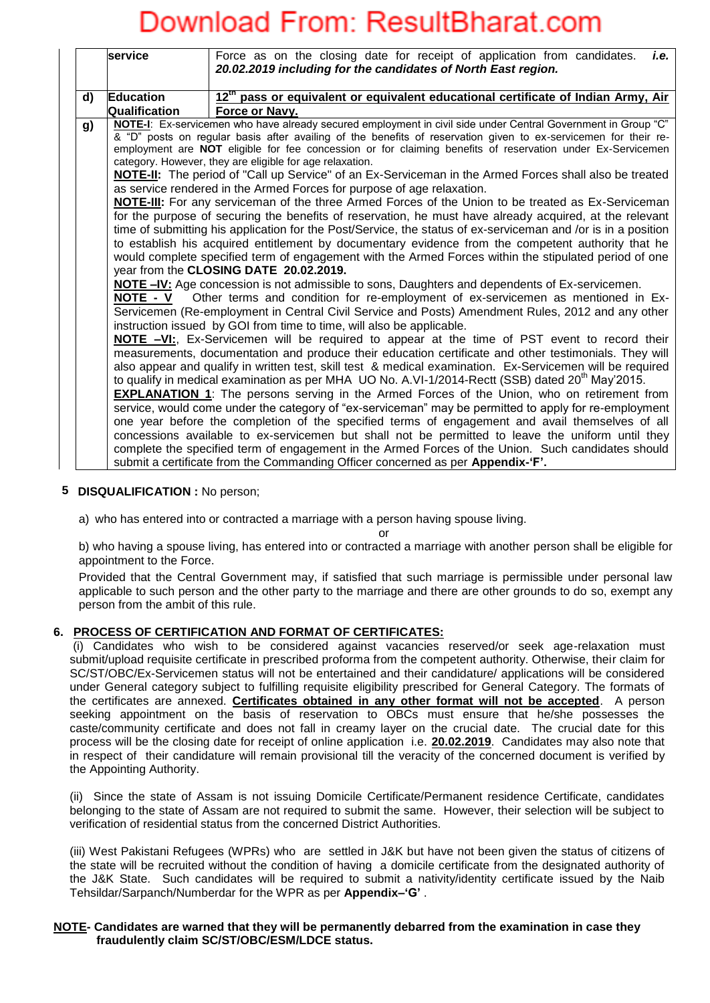|    | service              | Force as on the closing date for receipt of application from candidates.<br>i.e.<br>20.02.2019 including for the candidates of North East region.                                                                                                                                                                                                                                                                                                                                                                                                                                                                                                                                                                                                                                                                                                                                                                                                                                                                                                                                                                                                                                                                                                                                                                                                                                                                                                                                                                                                                                                                                                                                                                                                                                                                                                                                                                |
|----|----------------------|------------------------------------------------------------------------------------------------------------------------------------------------------------------------------------------------------------------------------------------------------------------------------------------------------------------------------------------------------------------------------------------------------------------------------------------------------------------------------------------------------------------------------------------------------------------------------------------------------------------------------------------------------------------------------------------------------------------------------------------------------------------------------------------------------------------------------------------------------------------------------------------------------------------------------------------------------------------------------------------------------------------------------------------------------------------------------------------------------------------------------------------------------------------------------------------------------------------------------------------------------------------------------------------------------------------------------------------------------------------------------------------------------------------------------------------------------------------------------------------------------------------------------------------------------------------------------------------------------------------------------------------------------------------------------------------------------------------------------------------------------------------------------------------------------------------------------------------------------------------------------------------------------------------|
| d) | <b>Education</b>     | 12 <sup>th</sup> pass or equivalent or equivalent educational certificate of Indian Army, Air                                                                                                                                                                                                                                                                                                                                                                                                                                                                                                                                                                                                                                                                                                                                                                                                                                                                                                                                                                                                                                                                                                                                                                                                                                                                                                                                                                                                                                                                                                                                                                                                                                                                                                                                                                                                                    |
|    | <b>Qualification</b> | Force or Navy.                                                                                                                                                                                                                                                                                                                                                                                                                                                                                                                                                                                                                                                                                                                                                                                                                                                                                                                                                                                                                                                                                                                                                                                                                                                                                                                                                                                                                                                                                                                                                                                                                                                                                                                                                                                                                                                                                                   |
| g) | NOTE - V             | NOTE-I: Ex-servicemen who have already secured employment in civil side under Central Government in Group "C"<br>& "D" posts on regular basis after availing of the benefits of reservation given to ex-servicemen for their re-<br>employment are NOT eligible for fee concession or for claiming benefits of reservation under Ex-Servicemen<br>category. However, they are eligible for age relaxation.<br><b>NOTE-II:</b> The period of "Call up Service" of an Ex-Serviceman in the Armed Forces shall also be treated<br>as service rendered in the Armed Forces for purpose of age relaxation.<br><b>NOTE-III:</b> For any serviceman of the three Armed Forces of the Union to be treated as Ex-Serviceman<br>for the purpose of securing the benefits of reservation, he must have already acquired, at the relevant<br>time of submitting his application for the Post/Service, the status of ex-serviceman and /or is in a position<br>to establish his acquired entitlement by documentary evidence from the competent authority that he<br>would complete specified term of engagement with the Armed Forces within the stipulated period of one<br>year from the CLOSING DATE 20.02.2019.<br><b>NOTE -IV:</b> Age concession is not admissible to sons, Daughters and dependents of Ex-servicemen.<br>Other terms and condition for re-employment of ex-servicemen as mentioned in Ex-<br>Servicemen (Re-employment in Central Civil Service and Posts) Amendment Rules, 2012 and any other<br>instruction issued by GOI from time to time, will also be applicable.<br><b>NOTE -VI:</b> , Ex-Servicemen will be required to appear at the time of PST event to record their<br>measurements, documentation and produce their education certificate and other testimonials. They will<br>also appear and qualify in written test, skill test & medical examination. Ex-Servicemen will be required |
|    |                      | to qualify in medical examination as per MHA UO No. A.VI-1/2014-Rectt (SSB) dated 20 <sup>th</sup> May'2015.<br><b>EXPLANATION 1:</b> The persons serving in the Armed Forces of the Union, who on retirement from                                                                                                                                                                                                                                                                                                                                                                                                                                                                                                                                                                                                                                                                                                                                                                                                                                                                                                                                                                                                                                                                                                                                                                                                                                                                                                                                                                                                                                                                                                                                                                                                                                                                                               |
|    |                      | service, would come under the category of "ex-serviceman" may be permitted to apply for re-employment                                                                                                                                                                                                                                                                                                                                                                                                                                                                                                                                                                                                                                                                                                                                                                                                                                                                                                                                                                                                                                                                                                                                                                                                                                                                                                                                                                                                                                                                                                                                                                                                                                                                                                                                                                                                            |
|    |                      | one year before the completion of the specified terms of engagement and avail themselves of all                                                                                                                                                                                                                                                                                                                                                                                                                                                                                                                                                                                                                                                                                                                                                                                                                                                                                                                                                                                                                                                                                                                                                                                                                                                                                                                                                                                                                                                                                                                                                                                                                                                                                                                                                                                                                  |
|    |                      | concessions available to ex-servicemen but shall not be permitted to leave the uniform until they                                                                                                                                                                                                                                                                                                                                                                                                                                                                                                                                                                                                                                                                                                                                                                                                                                                                                                                                                                                                                                                                                                                                                                                                                                                                                                                                                                                                                                                                                                                                                                                                                                                                                                                                                                                                                |
|    |                      | complete the specified term of engagement in the Armed Forces of the Union. Such candidates should                                                                                                                                                                                                                                                                                                                                                                                                                                                                                                                                                                                                                                                                                                                                                                                                                                                                                                                                                                                                                                                                                                                                                                                                                                                                                                                                                                                                                                                                                                                                                                                                                                                                                                                                                                                                               |
|    |                      | submit a certificate from the Commanding Officer concerned as per Appendix-'F'.                                                                                                                                                                                                                                                                                                                                                                                                                                                                                                                                                                                                                                                                                                                                                                                                                                                                                                                                                                                                                                                                                                                                                                                                                                                                                                                                                                                                                                                                                                                                                                                                                                                                                                                                                                                                                                  |

### **5 DISQUALIFICATION :** No person;

a) who has entered into or contracted a marriage with a person having spouse living.

or

b) who having a spouse living, has entered into or contracted a marriage with another person shall be eligible for appointment to the Force.

Provided that the Central Government may, if satisfied that such marriage is permissible under personal law applicable to such person and the other party to the marriage and there are other grounds to do so, exempt any person from the ambit of this rule.

### **6. PROCESS OF CERTIFICATION AND FORMAT OF CERTIFICATES:**

(i) Candidates who wish to be considered against vacancies reserved/or seek age-relaxation must submit/upload requisite certificate in prescribed proforma from the competent authority. Otherwise, their claim for SC/ST/OBC/Ex-Servicemen status will not be entertained and their candidature/ applications will be considered under General category subject to fulfilling requisite eligibility prescribed for General Category. The formats of the certificates are annexed. **Certificates obtained in any other format will not be accepted**. A person seeking appointment on the basis of reservation to OBCs must ensure that he/she possesses the caste/community certificate and does not fall in creamy layer on the crucial date. The crucial date for this process will be the closing date for receipt of online application i.e. **20.02.2019**. Candidates may also note that in respect of their candidature will remain provisional till the veracity of the concerned document is verified by the Appointing Authority.

(ii) Since the state of Assam is not issuing Domicile Certificate/Permanent residence Certificate, candidates belonging to the state of Assam are not required to submit the same. However, their selection will be subject to verification of residential status from the concerned District Authorities.

(iii) West Pakistani Refugees (WPRs) who are settled in J&K but have not been given the status of citizens of the state will be recruited without the condition of having a domicile certificate from the designated authority of the J&K State. Such candidates will be required to submit a nativity/identity certificate issued by the Naib Tehsildar/Sarpanch/Numberdar for the WPR as per **Appendix–'G'** .

### **NOTE- Candidates are warned that they will be permanently debarred from the examination in case they fraudulently claim SC/ST/OBC/ESM/LDCE status.**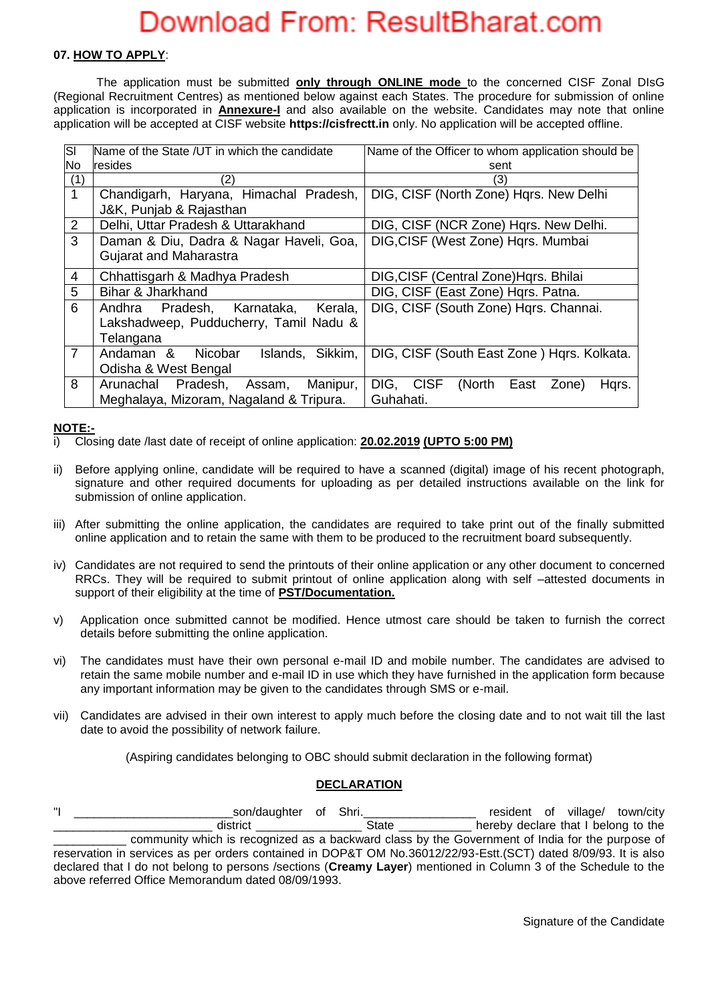### **07. HOW TO APPLY**:

The application must be submitted **only through ONLINE mode** to the concerned CISF Zonal DIsG (Regional Recruitment Centres) as mentioned below against each States. The procedure for submission of online application is incorporated in **Annexure-I** and also available on the website. Candidates may note that online application will be accepted at CISF website **https://cisfrectt.in** only. No application will be accepted offline.

| SI             | Name of the State /UT in which the candidate | Name of the Officer to whom application should be |  |
|----------------|----------------------------------------------|---------------------------------------------------|--|
| No             | <b>resides</b>                               | sent                                              |  |
| (1)            | (2)                                          | (3)                                               |  |
| $\mathbf{1}$   | Chandigarh, Haryana, Himachal Pradesh,       | DIG, CISF (North Zone) Hars. New Delhi            |  |
|                | J&K, Punjab & Rajasthan                      |                                                   |  |
| $\overline{2}$ | Delhi, Uttar Pradesh & Uttarakhand           | DIG, CISF (NCR Zone) Hars. New Delhi.             |  |
| 3              | Daman & Diu, Dadra & Nagar Haveli, Goa,      | DIG, CISF (West Zone) Hqrs. Mumbai                |  |
|                | Gujarat and Maharastra                       |                                                   |  |
| 4              | Chhattisgarh & Madhya Pradesh                | DIG, CISF (Central Zone) Hqrs. Bhilai             |  |
| 5              | Bihar & Jharkhand                            | DIG, CISF (East Zone) Hqrs. Patna.                |  |
| 6              | Andhra Pradesh, Karnataka,<br>Kerala,        | DIG, CISF (South Zone) Hqrs. Channai.             |  |
|                | Lakshadweep, Pudducherry, Tamil Nadu &       |                                                   |  |
|                | Telangana                                    |                                                   |  |
| $\overline{7}$ | Andaman &<br>Nicobar<br>Sikkim,<br>Islands,  | DIG, CISF (South East Zone) Hqrs. Kolkata.        |  |
|                | Odisha & West Bengal                         |                                                   |  |
| 8              | Arunachal<br>Pradesh,<br>Manipur,<br>Assam,  | DIG, CISF<br>(North<br>Hqrs.<br>East<br>Zone)     |  |
|                | Meghalaya, Mizoram, Nagaland & Tripura.      | Guhahati.                                         |  |

### **NOTE:-**

i) Closing date /last date of receipt of online application: **20.02.2019 (UPTO 5:00 PM)**

- ii) Before applying online, candidate will be required to have a scanned (digital) image of his recent photograph, signature and other required documents for uploading as per detailed instructions available on the link for submission of online application.
- iii) After submitting the online application, the candidates are required to take print out of the finally submitted online application and to retain the same with them to be produced to the recruitment board subsequently.
- iv) Candidates are not required to send the printouts of their online application or any other document to concerned RRCs. They will be required to submit printout of online application along with self –attested documents in support of their eligibility at the time of **PST/Documentation.**
- v) Application once submitted cannot be modified. Hence utmost care should be taken to furnish the correct details before submitting the online application.
- vi) The candidates must have their own personal e-mail ID and mobile number. The candidates are advised to retain the same mobile number and e-mail ID in use which they have furnished in the application form because any important information may be given to the candidates through SMS or e-mail.
- vii) Candidates are advised in their own interest to apply much before the closing date and to not wait till the last date to avoid the possibility of network failure.

(Aspiring candidates belonging to OBC should submit declaration in the following format)

## **DECLARATION**

"I \_\_\_\_\_\_\_\_\_\_\_\_\_\_\_\_\_\_\_\_\_\_\_\_son/daughter of Shri.\_\_\_\_\_\_\_\_\_\_\_\_\_\_\_\_\_ resident of village/ town/city \_\_\_\_\_\_\_\_\_\_\_\_\_\_\_\_\_\_\_\_\_\_\_\_ district \_\_\_\_\_\_\_\_\_\_\_\_\_\_\_\_ State \_\_\_\_\_\_\_\_\_\_\_ hereby declare that I belong to the \_\_\_\_\_\_\_\_\_\_\_ community which is recognized as a backward class by the Government of India for the purpose of reservation in services as per orders contained in DOP&T OM No.36012/22/93-Estt.(SCT) dated 8/09/93. It is also declared that I do not belong to persons /sections (**Creamy Layer**) mentioned in Column 3 of the Schedule to the above referred Office Memorandum dated 08/09/1993.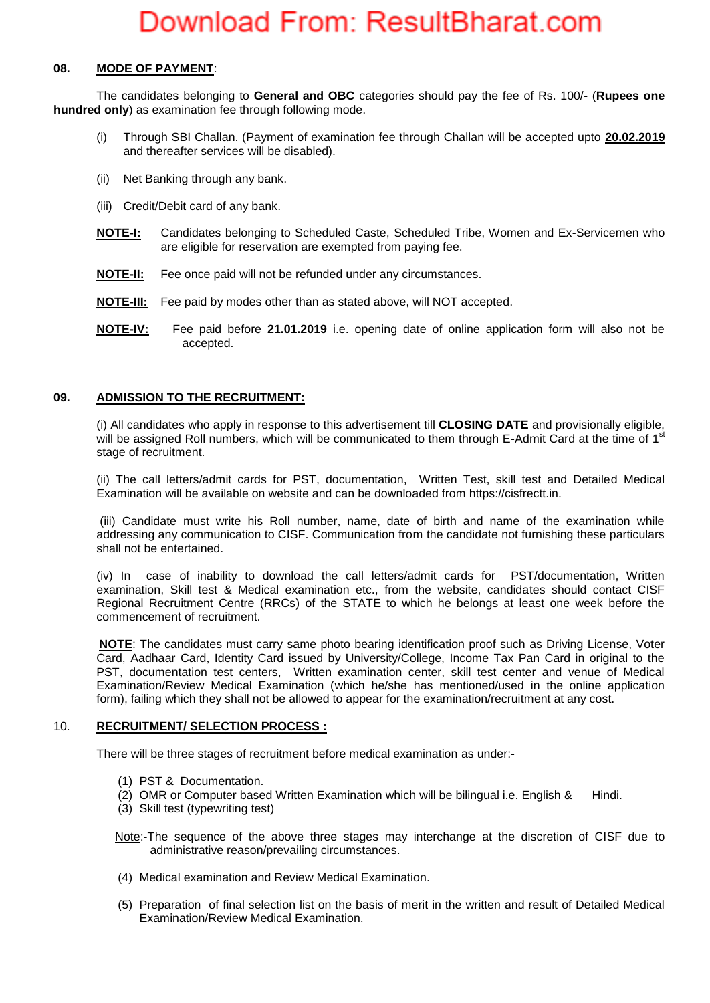### **08. MODE OF PAYMENT**:

The candidates belonging to **General and OBC** categories should pay the fee of Rs. 100/- (**Rupees one hundred only**) as examination fee through following mode.

- (i) Through SBI Challan. (Payment of examination fee through Challan will be accepted upto **20.02.2019**  and thereafter services will be disabled).
- (ii) Net Banking through any bank.
- (iii) Credit/Debit card of any bank.
- **NOTE-I:** Candidates belonging to Scheduled Caste, Scheduled Tribe, Women and Ex-Servicemen who are eligible for reservation are exempted from paying fee.
- **NOTE-II:** Fee once paid will not be refunded under any circumstances.
- **NOTE-III:** Fee paid by modes other than as stated above, will NOT accepted.
- **NOTE-IV:** Fee paid before **21.01.2019** i.e. opening date of online application form will also not be accepted.

### **09. ADMISSION TO THE RECRUITMENT:**

(i) All candidates who apply in response to this advertisement till **CLOSING DATE** and provisionally eligible, will be assigned Roll numbers, which will be communicated to them through E-Admit Card at the time of 1<sup>st</sup> stage of recruitment.

(ii) The call letters/admit cards for PST, documentation, Written Test, skill test and Detailed Medical Examination will be available on website and can be downloaded from https://cisfrectt.in.

(iii) Candidate must write his Roll number, name, date of birth and name of the examination while addressing any communication to CISF. Communication from the candidate not furnishing these particulars shall not be entertained.

(iv) In case of inability to download the call letters/admit cards for PST/documentation, Written examination, Skill test & Medical examination etc., from the website, candidates should contact CISF Regional Recruitment Centre (RRCs) of the STATE to which he belongs at least one week before the commencement of recruitment.

**NOTE**: The candidates must carry same photo bearing identification proof such as Driving License, Voter Card, Aadhaar Card, Identity Card issued by University/College, Income Tax Pan Card in original to the PST, documentation test centers, Written examination center, skill test center and venue of Medical Examination/Review Medical Examination (which he/she has mentioned/used in the online application form), failing which they shall not be allowed to appear for the examination/recruitment at any cost.

#### 10. **RECRUITMENT/ SELECTION PROCESS :**

There will be three stages of recruitment before medical examination as under:-

- (1) PST & Documentation.
- (2) OMR or Computer based Written Examination which will be bilingual i.e. English & Hindi.
- (3) Skill test (typewriting test)

Note:-The sequence of the above three stages may interchange at the discretion of CISF due to administrative reason/prevailing circumstances.

- (4) Medical examination and Review Medical Examination.
- (5) Preparation of final selection list on the basis of merit in the written and result of Detailed Medical Examination/Review Medical Examination.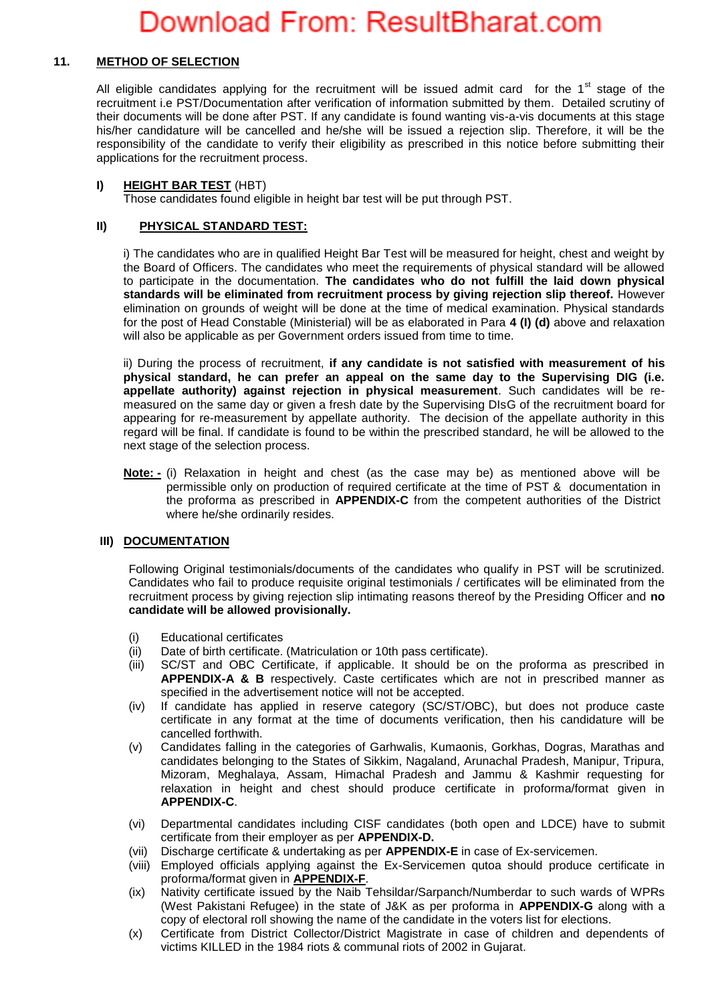### **11. METHOD OF SELECTION**

All eligible candidates applying for the recruitment will be issued admit card for the  $1<sup>st</sup>$  stage of the recruitment i.e PST/Documentation after verification of information submitted by them. Detailed scrutiny of their documents will be done after PST. If any candidate is found wanting vis-a-vis documents at this stage his/her candidature will be cancelled and he/she will be issued a rejection slip. Therefore, it will be the responsibility of the candidate to verify their eligibility as prescribed in this notice before submitting their applications for the recruitment process.

### **I) HEIGHT BAR TEST** (HBT)

Those candidates found eligible in height bar test will be put through PST.

### **II) PHYSICAL STANDARD TEST:**

i) The candidates who are in qualified Height Bar Test will be measured for height, chest and weight by the Board of Officers. The candidates who meet the requirements of physical standard will be allowed to participate in the documentation. **The candidates who do not fulfill the laid down physical standards will be eliminated from recruitment process by giving rejection slip thereof.** However elimination on grounds of weight will be done at the time of medical examination. Physical standards for the post of Head Constable (Ministerial) will be as elaborated in Para **4 (I) (d)** above and relaxation will also be applicable as per Government orders issued from time to time.

ii) During the process of recruitment, **if any candidate is not satisfied with measurement of his physical standard, he can prefer an appeal on the same day to the Supervising DIG (i.e. appellate authority) against rejection in physical measurement**. Such candidates will be remeasured on the same day or given a fresh date by the Supervising DIsG of the recruitment board for appearing for re-measurement by appellate authority. The decision of the appellate authority in this regard will be final. If candidate is found to be within the prescribed standard, he will be allowed to the next stage of the selection process.

**Note: -** (i) Relaxation in height and chest (as the case may be) as mentioned above will be permissible only on production of required certificate at the time of PST & documentation in the proforma as prescribed in **APPENDIX-C** from the competent authorities of the District where he/she ordinarily resides.

## **III) DOCUMENTATION**

Following Original testimonials/documents of the candidates who qualify in PST will be scrutinized. Candidates who fail to produce requisite original testimonials / certificates will be eliminated from the recruitment process by giving rejection slip intimating reasons thereof by the Presiding Officer and **no candidate will be allowed provisionally.** 

- (i) Educational certificates
- (ii) Date of birth certificate. (Matriculation or 10th pass certificate).
- (iii) SC/ST and OBC Certificate, if applicable. It should be on the proforma as prescribed in **APPENDIX-A & B** respectively. Caste certificates which are not in prescribed manner as specified in the advertisement notice will not be accepted.
- (iv) If candidate has applied in reserve category (SC/ST/OBC), but does not produce caste certificate in any format at the time of documents verification, then his candidature will be cancelled forthwith.
- (v) Candidates falling in the categories of Garhwalis, Kumaonis, Gorkhas, Dogras, Marathas and candidates belonging to the States of Sikkim, Nagaland, Arunachal Pradesh, Manipur, Tripura, Mizoram, Meghalaya, Assam, Himachal Pradesh and Jammu & Kashmir requesting for relaxation in height and chest should produce certificate in proforma/format given in **APPENDIX-C**.
- (vi) Departmental candidates including CISF candidates (both open and LDCE) have to submit certificate from their employer as per **APPENDIX-D.**
- (vii) Discharge certificate & undertaking as per **APPENDIX-E** in case of Ex-servicemen.
- (viii) Employed officials applying against the Ex-Servicemen qutoa should produce certificate in proforma/format given in **APPENDIX-F**.
- (ix) Nativity certificate issued by the Naib Tehsildar/Sarpanch/Numberdar to such wards of WPRs (West Pakistani Refugee) in the state of J&K as per proforma in **APPENDIX-G** along with a copy of electoral roll showing the name of the candidate in the voters list for elections.
- (x) Certificate from District Collector/District Magistrate in case of children and dependents of victims KILLED in the 1984 riots & communal riots of 2002 in Gujarat.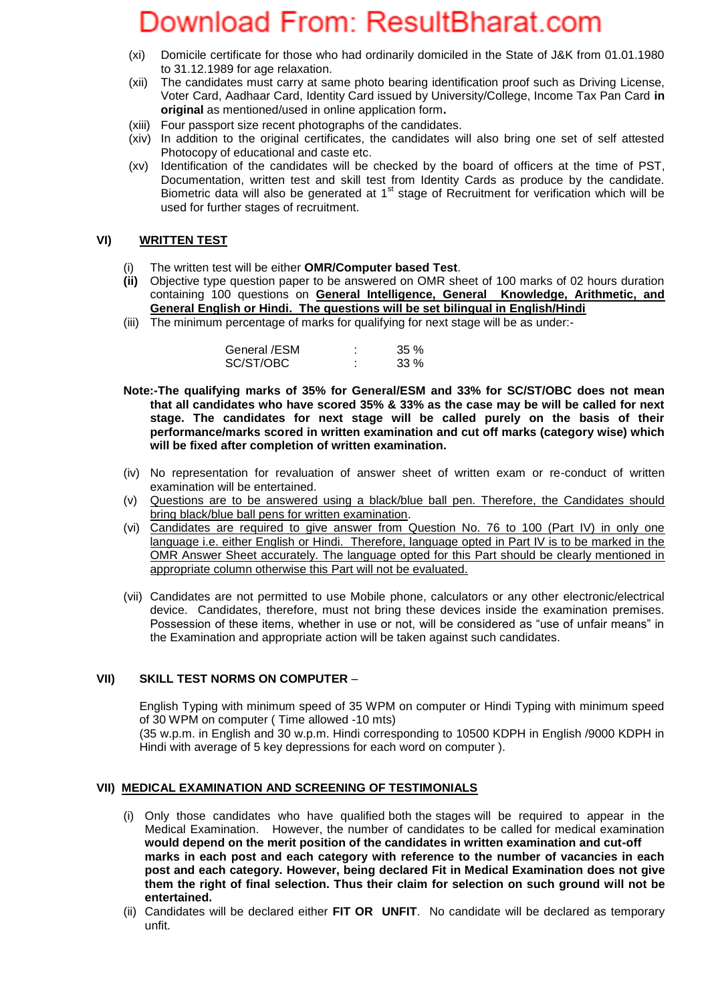- (xi) Domicile certificate for those who had ordinarily domiciled in the State of J&K from 01.01.1980 to 31.12.1989 for age relaxation.
- (xii) The candidates must carry at same photo bearing identification proof such as Driving License, Voter Card, Aadhaar Card, Identity Card issued by University/College, Income Tax Pan Card **in original** as mentioned/used in online application form**.**
- (xiii) Four passport size recent photographs of the candidates.
- (xiv) In addition to the original certificates, the candidates will also bring one set of self attested Photocopy of educational and caste etc.
- (xv) Identification of the candidates will be checked by the board of officers at the time of PST, Documentation, written test and skill test from Identity Cards as produce by the candidate. Biometric data will also be generated at  $1<sup>st</sup>$  stage of Recruitment for verification which will be used for further stages of recruitment.

### **VI) WRITTEN TEST**

- (i) The written test will be either **OMR/Computer based Test**.
- **(ii)** Objective type question paper to be answered on OMR sheet of 100 marks of 02 hours duration containing 100 questions on **General Intelligence, General Knowledge, Arithmetic, and General English or Hindi. The questions will be set bilingual in English/Hindi**
- (iii) The minimum percentage of marks for qualifying for next stage will be as under:-

| General /ESM | 35%    |
|--------------|--------|
| SC/ST/OBC    | $33\%$ |

- **Note:-The qualifying marks of 35% for General/ESM and 33% for SC/ST/OBC does not mean that all candidates who have scored 35% & 33% as the case may be will be called for next stage. The candidates for next stage will be called purely on the basis of their performance/marks scored in written examination and cut off marks (category wise) which will be fixed after completion of written examination.**
- (iv) No representation for revaluation of answer sheet of written exam or re-conduct of written examination will be entertained.
- (v) Questions are to be answered using a black/blue ball pen. Therefore, the Candidates should bring black/blue ball pens for written examination.
- (vi) Candidates are required to give answer from Question No. 76 to 100 (Part IV) in only one language i.e. either English or Hindi. Therefore, language opted in Part IV is to be marked in the OMR Answer Sheet accurately. The language opted for this Part should be clearly mentioned in appropriate column otherwise this Part will not be evaluated.
- (vii) Candidates are not permitted to use Mobile phone, calculators or any other electronic/electrical device. Candidates, therefore, must not bring these devices inside the examination premises. Possession of these items, whether in use or not, will be considered as "use of unfair means" in the Examination and appropriate action will be taken against such candidates.

### **VII) SKILL TEST NORMS ON COMPUTER** –

English Typing with minimum speed of 35 WPM on computer or Hindi Typing with minimum speed of 30 WPM on computer ( Time allowed -10 mts) (35 w.p.m. in English and 30 w.p.m. Hindi corresponding to 10500 KDPH in English /9000 KDPH in Hindi with average of 5 key depressions for each word on computer ).

### **VII) MEDICAL EXAMINATION AND SCREENING OF TESTIMONIALS**

- (i) Only those candidates who have qualified both the stages will be required to appear in the Medical Examination. However, the number of candidates to be called for medical examination **would depend on the merit position of the candidates in written examination and cut-off marks in each post and each category with reference to the number of vacancies in each post and each category. However, being declared Fit in Medical Examination does not give them the right of final selection. Thus their claim for selection on such ground will not be entertained.**
- (ii) Candidates will be declared either **FIT OR UNFIT**. No candidate will be declared as temporary unfit.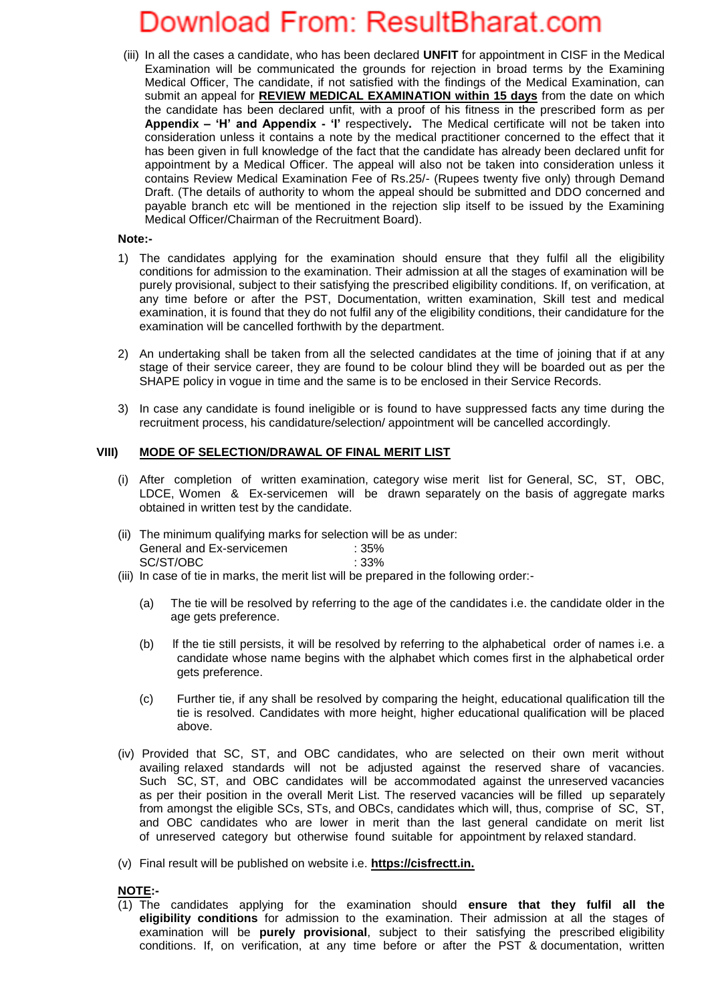(iii) In all the cases a candidate, who has been declared **UNFIT** for appointment in CISF in the Medical Examination will be communicated the grounds for rejection in broad terms by the Examining Medical Officer, The candidate, if not satisfied with the findings of the Medical Examination, can submit an appeal for **REVIEW MEDICAL EXAMINATION within 15 days** from the date on which the candidate has been declared unfit, with a proof of his fitness in the prescribed form as per **Appendix – 'H' and Appendix - 'I'** respectively**.** The Medical certificate will not be taken into consideration unless it contains a note by the medical practitioner concerned to the effect that it has been given in full knowledge of the fact that the candidate has already been declared unfit for appointment by a Medical Officer. The appeal will also not be taken into consideration unless it contains Review Medical Examination Fee of Rs.25/- (Rupees twenty five only) through Demand Draft. (The details of authority to whom the appeal should be submitted and DDO concerned and payable branch etc will be mentioned in the rejection slip itself to be issued by the Examining Medical Officer/Chairman of the Recruitment Board).

### **Note:-**

- 1) The candidates applying for the examination should ensure that they fulfil all the eligibility conditions for admission to the examination. Their admission at all the stages of examination will be purely provisional, subject to their satisfying the prescribed eligibility conditions. If, on verification, at any time before or after the PST, Documentation, written examination, Skill test and medical examination, it is found that they do not fulfil any of the eligibility conditions, their candidature for the examination will be cancelled forthwith by the department.
- 2) An undertaking shall be taken from all the selected candidates at the time of joining that if at any stage of their service career, they are found to be colour blind they will be boarded out as per the SHAPE policy in vogue in time and the same is to be enclosed in their Service Records.
- 3) In case any candidate is found ineligible or is found to have suppressed facts any time during the recruitment process, his candidature/selection/ appointment will be cancelled accordingly.

### **VIII) MODE OF SELECTION/DRAWAL OF FINAL MERIT LIST**

- (i) After completion of written examination, category wise merit list for General, SC, ST, OBC, LDCE, Women & Ex-servicemen will be drawn separately on the basis of aggregate marks obtained in written test by the candidate.
- (ii) The minimum qualifying marks for selection will be as under: General and Ex-servicemen : 35% SC/ST/OBC : 33%
- (iii) In case of tie in marks, the merit list will be prepared in the following order:-
	- (a) The tie will be resolved by referring to the age of the candidates i.e. the candidate older in the age gets preference.
	- (b) lf the tie still persists, it will be resolved by referring to the alphabetical order of names i.e. a candidate whose name begins with the alphabet which comes first in the alphabetical order gets preference.
	- (c) Further tie, if any shall be resolved by comparing the height, educational qualification till the tie is resolved. Candidates with more height, higher educational qualification will be placed above.
- (iv) Provided that SC, ST, and OBC candidates, who are selected on their own merit without availing relaxed standards will not be adjusted against the reserved share of vacancies. Such SC, ST, and OBC candidates will be accommodated against the unreserved vacancies as per their position in the overall Merit List. The reserved vacancies will be filled up separately from amongst the eligible SCs, STs, and OBCs, candidates which will, thus, comprise of SC, ST, and OBC candidates who are lower in merit than the last general candidate on merit list of unreserved category but otherwise found suitable for appointment by relaxed standard.
- (v) Final result will be published on website i.e. **https://cisfrectt.in.**

#### **NOTE:-**

(1) The candidates applying for the examination should **ensure that they fulfil all the eligibility conditions** for admission to the examination. Their admission at all the stages of examination will be **purely provisional**, subject to their satisfying the prescribed eligibility conditions. If, on verification, at any time before or after the PST & documentation, written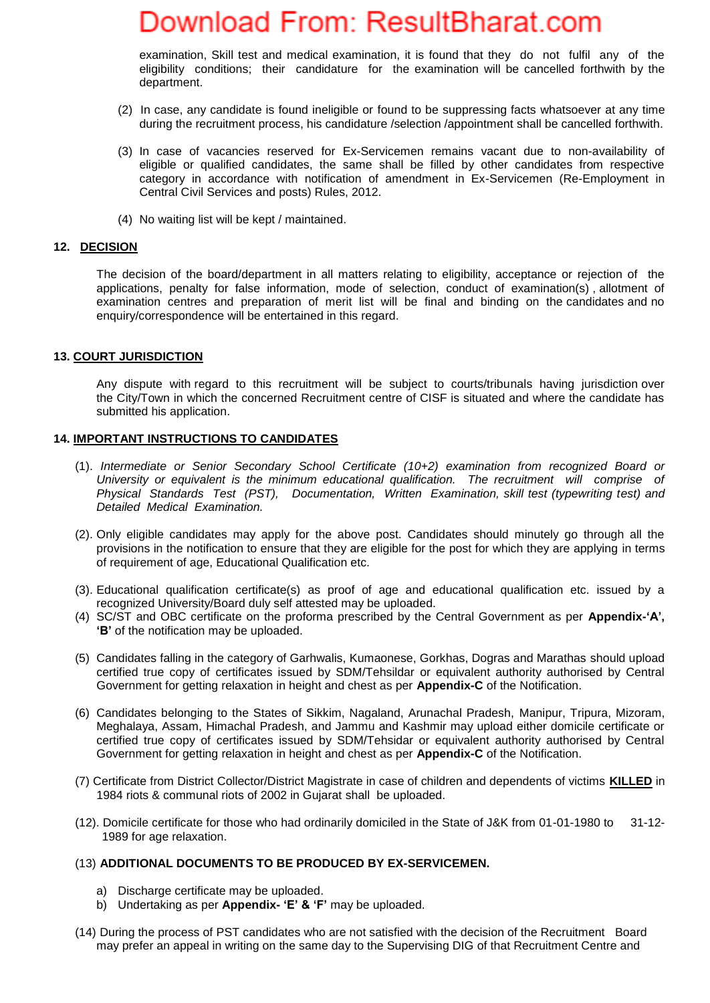examination, Skill test and medical examination, it is found that they do not fulfil any of the eligibility conditions; their candidature for the examination will be cancelled forthwith by the department.

- (2) In case, any candidate is found ineligible or found to be suppressing facts whatsoever at any time during the recruitment process, his candidature /selection /appointment shall be cancelled forthwith.
- (3) In case of vacancies reserved for Ex-Servicemen remains vacant due to non-availability of eligible or qualified candidates, the same shall be filled by other candidates from respective category in accordance with notification of amendment in Ex-Servicemen (Re-Employment in Central Civil Services and posts) Rules, 2012.
- (4) No waiting list will be kept / maintained.

#### **12. DECISION**

The decision of the board/department in all matters relating to eligibility, acceptance or rejection of the applications, penalty for false information, mode of selection, conduct of examination(s) , allotment of examination centres and preparation of merit list will be final and binding on the candidates and no enquiry/correspondence will be entertained in this regard.

#### **13. COURT JURISDICTION**

Any dispute with regard to this recruitment will be subject to courts/tribunals having jurisdiction over the City/Town in which the concerned Recruitment centre of CISF is situated and where the candidate has submitted his application.

#### **14. IMPORTANT INSTRUCTIONS TO CANDIDATES**

- (1). *Intermediate or Senior Secondary School Certificate (10+2) examination from recognized Board or University or equivalent is the minimum educational qualification. The recruitment will comprise of Physical Standards Test (PST), Documentation, Written Examination, skill test (typewriting test) and Detailed Medical Examination.*
- (2). Only eligible candidates may apply for the above post. Candidates should minutely go through all the provisions in the notification to ensure that they are eligible for the post for which they are applying in terms of requirement of age, Educational Qualification etc.
- (3). Educational qualification certificate(s) as proof of age and educational qualification etc. issued by a recognized University/Board duly self attested may be uploaded.
- (4) SC/ST and OBC certificate on the proforma prescribed by the Central Government as per **Appendix-'A', 'B'** of the notification may be uploaded.
- (5) Candidates falling in the category of Garhwalis, Kumaonese, Gorkhas, Dogras and Marathas should upload certified true copy of certificates issued by SDM/Tehsildar or equivalent authority authorised by Central Government for getting relaxation in height and chest as per **Appendix-C** of the Notification.
- (6) Candidates belonging to the States of Sikkim, Nagaland, Arunachal Pradesh, Manipur, Tripura, Mizoram, Meghalaya, Assam, Himachal Pradesh, and Jammu and Kashmir may upload either domicile certificate or certified true copy of certificates issued by SDM/Tehsidar or equivalent authority authorised by Central Government for getting relaxation in height and chest as per **Appendix-C** of the Notification.
- (7) Certificate from District Collector/District Magistrate in case of children and dependents of victims **KILLED** in 1984 riots & communal riots of 2002 in Gujarat shall be uploaded.
- (12). Domicile certificate for those who had ordinarily domiciled in the State of J&K from 01-01-1980 to 31-12- 1989 for age relaxation.

#### (13) **ADDITIONAL DOCUMENTS TO BE PRODUCED BY EX-SERVICEMEN.**

- a) Discharge certificate may be uploaded.
- b) Undertaking as per **Appendix- 'E' & 'F'** may be uploaded.
- (14) During the process of PST candidates who are not satisfied with the decision of the Recruitment Board may prefer an appeal in writing on the same day to the Supervising DIG of that Recruitment Centre and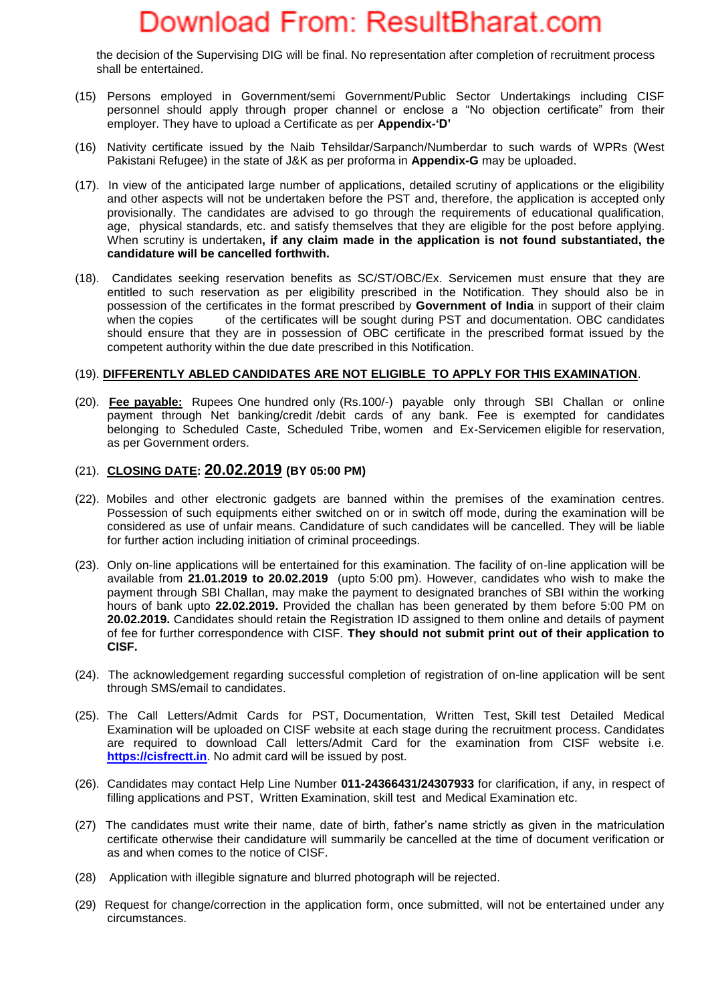the decision of the Supervising DIG will be final. No representation after completion of recruitment process shall be entertained.

- (15) Persons employed in Government/semi Government/Public Sector Undertakings including CISF personnel should apply through proper channel or enclose a "No objection certificate" from their employer. They have to upload a Certificate as per **Appendix-'D'**
- (16) Nativity certificate issued by the Naib Tehsildar/Sarpanch/Numberdar to such wards of WPRs (West Pakistani Refugee) in the state of J&K as per proforma in **Appendix-G** may be uploaded.
- (17). In view of the anticipated large number of applications, detailed scrutiny of applications or the eligibility and other aspects will not be undertaken before the PST and, therefore, the application is accepted only provisionally. The candidates are advised to go through the requirements of educational qualification, age, physical standards, etc. and satisfy themselves that they are eligible for the post before applying. When scrutiny is undertaken**, if any claim made in the application is not found substantiated, the candidature will be cancelled forthwith.**
- (18). Candidates seeking reservation benefits as SC/ST/OBC/Ex. Servicemen must ensure that they are entitled to such reservation as per eligibility prescribed in the Notification. They should also be in possession of the certificates in the format prescribed by **Government of India** in support of their claim when the copies of the certificates will be sought during PST and documentation. OBC candidates should ensure that they are in possession of OBC certificate in the prescribed format issued by the competent authority within the due date prescribed in this Notification.

### (19). **DIFFERENTLY ABLED CANDIDATES ARE NOT ELIGIBLE TO APPLY FOR THIS EXAMINATION**.

(20). **Fee payable:** Rupees One hundred only (Rs.100/-) payable only through SBI Challan or online payment through Net banking/credit /debit cards of any bank. Fee is exempted for candidates belonging to Scheduled Caste, Scheduled Tribe, women and Ex-Servicemen eligible for reservation, as per Government orders.

### (21). **CLOSING DATE: 20.02.2019 (BY 05:00 PM)**

- (22). Mobiles and other electronic gadgets are banned within the premises of the examination centres. Possession of such equipments either switched on or in switch off mode, during the examination will be considered as use of unfair means. Candidature of such candidates will be cancelled. They will be liable for further action including initiation of criminal proceedings.
- (23). Only on-line applications will be entertained for this examination. The facility of on-line application will be available from **21.01.2019 to 20.02.2019** (upto 5:00 pm). However, candidates who wish to make the payment through SBI Challan, may make the payment to designated branches of SBI within the working hours of bank upto **22.02.2019.** Provided the challan has been generated by them before 5:00 PM on **20.02.2019.** Candidates should retain the Registration ID assigned to them online and details of payment of fee for further correspondence with CISF. **They should not submit print out of their application to CISF.**
- (24). The acknowledgement regarding successful completion of registration of on-line application will be sent through SMS/email to candidates.
- (25). The Call Letters/Admit Cards for PST, Documentation, Written Test, Skill test Detailed Medical Examination will be uploaded on CISF website at each stage during the recruitment process. Candidates are required to download Call letters/Admit Card for the examination from CISF website i.e. **[https://cisfrectt.in](https://cisfrectt.in/)**. No admit card will be issued by post.
- (26). Candidates may contact Help Line Number **011-24366431/24307933** for clarification, if any, in respect of filling applications and PST, Written Examination, skill test and Medical Examination etc.
- (27) The candidates must write their name, date of birth, father's name strictly as given in the matriculation certificate otherwise their candidature will summarily be cancelled at the time of document verification or as and when comes to the notice of CISF.
- (28) Application with illegible signature and blurred photograph will be rejected.
- (29) Request for change/correction in the application form, once submitted, will not be entertained under any circumstances.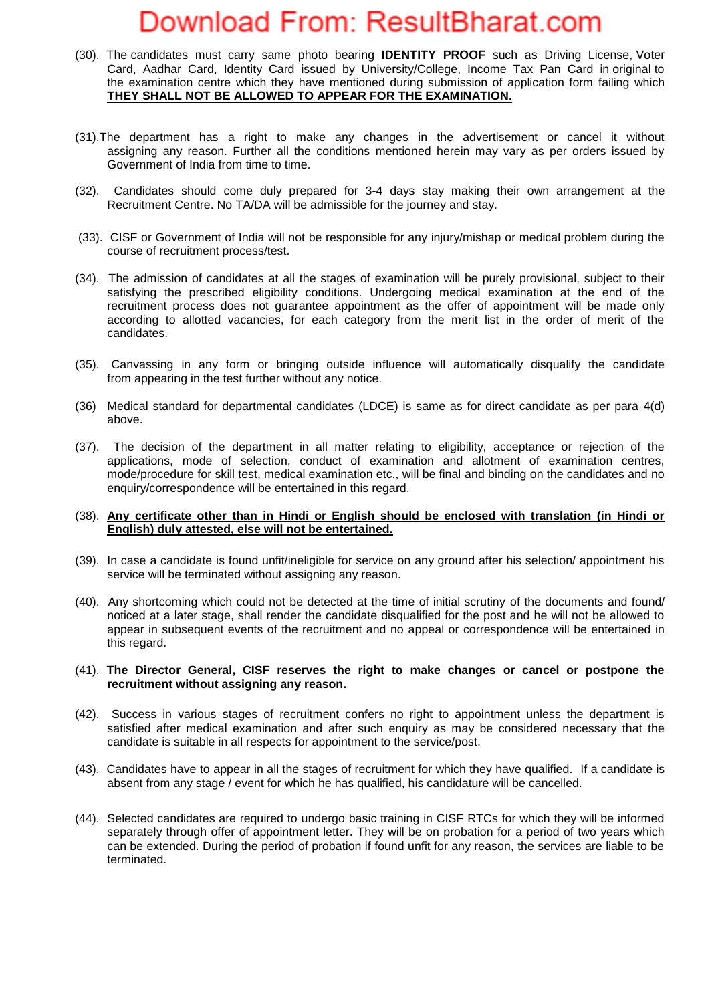- (30). The candidates must carry same photo bearing **IDENTITY PROOF** such as Driving License, Voter Card, Aadhar Card, Identity Card issued by University/College, Income Tax Pan Card in original to the examination centre which they have mentioned during submission of application form failing which **THEY SHALL NOT BE ALLOWED TO APPEAR FOR THE EXAMINATION.**
- (31).The department has a right to make any changes in the advertisement or cancel it without assigning any reason. Further all the conditions mentioned herein may vary as per orders issued by Government of India from time to time.
- (32). Candidates should come duly prepared for 3-4 days stay making their own arrangement at the Recruitment Centre. No TA/DA will be admissible for the journey and stay.
- (33). CISF or Government of India will not be responsible for any injury/mishap or medical problem during the course of recruitment process/test.
- (34). The admission of candidates at all the stages of examination will be purely provisional, subject to their satisfying the prescribed eligibility conditions. Undergoing medical examination at the end of the recruitment process does not guarantee appointment as the offer of appointment will be made only according to allotted vacancies, for each category from the merit list in the order of merit of the candidates.
- (35). Canvassing in any form or bringing outside influence will automatically disqualify the candidate from appearing in the test further without any notice.
- (36) Medical standard for departmental candidates (LDCE) is same as for direct candidate as per para 4(d) above.
- (37). The decision of the department in all matter relating to eligibility, acceptance or rejection of the applications, mode of selection, conduct of examination and allotment of examination centres, mode/procedure for skill test, medical examination etc., will be final and binding on the candidates and no enquiry/correspondence will be entertained in this regard.

#### (38). **Any certificate other than in Hindi or English should be enclosed with translation (in Hindi or English) duly attested, else will not be entertained.**

- (39).In case a candidate is found unfit/ineligible for service on any ground after his selection/ appointment his service will be terminated without assigning any reason.
- (40). Any shortcoming which could not be detected at the time of initial scrutiny of the documents and found/ noticed at a later stage, shall render the candidate disqualified for the post and he will not be allowed to appear in subsequent events of the recruitment and no appeal or correspondence will be entertained in this regard.

#### (41). **The Director General, CISF reserves the right to make changes or cancel or postpone the recruitment without assigning any reason.**

- (42). Success in various stages of recruitment confers no right to appointment unless the department is satisfied after medical examination and after such enquiry as may be considered necessary that the candidate is suitable in all respects for appointment to the service/post.
- (43). Candidates have to appear in all the stages of recruitment for which they have qualified. If a candidate is absent from any stage / event for which he has qualified, his candidature will be cancelled.
- (44). Selected candidates are required to undergo basic training in CISF RTCs for which they will be informed separately through offer of appointment letter. They will be on probation for a period of two years which can be extended. During the period of probation if found unfit for any reason, the services are liable to be terminated.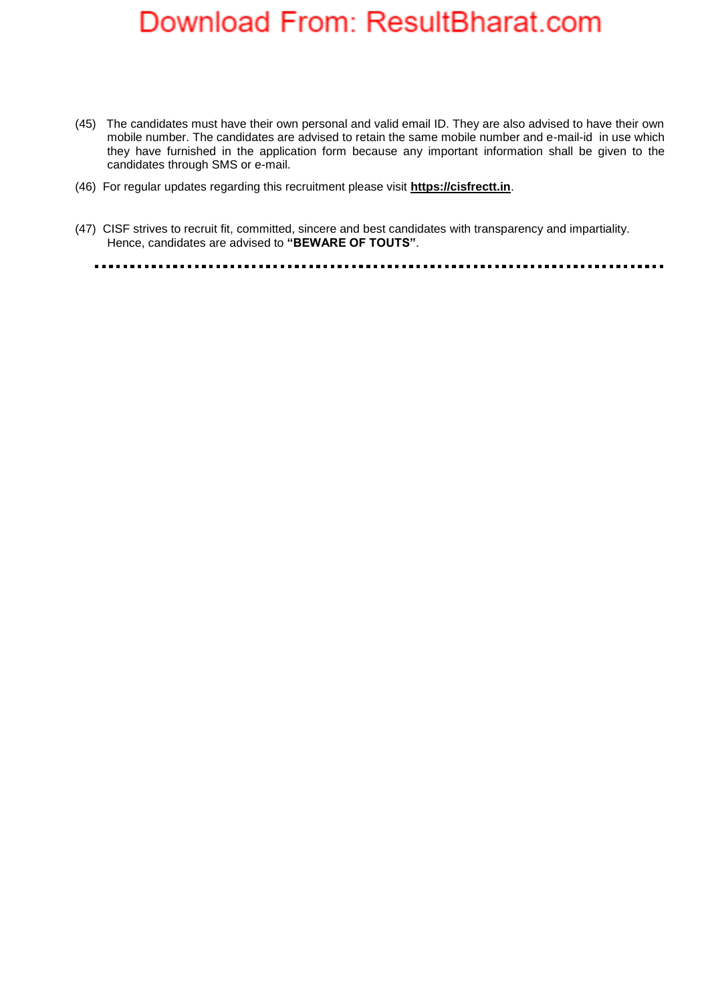- (45) The candidates must have their own personal and valid email ID. They are also advised to have their own mobile number. The candidates are advised to retain the same mobile number and e-mail-id in use which they have furnished in the application form because any important information shall be given to the candidates through SMS or e-mail.
- (46) For regular updates regarding this recruitment please visit **https://cisfrectt.in**.
- (47) CISF strives to recruit fit, committed, sincere and best candidates with transparency and impartiality. Hence, candidates are advised to **"BEWARE OF TOUTS"**.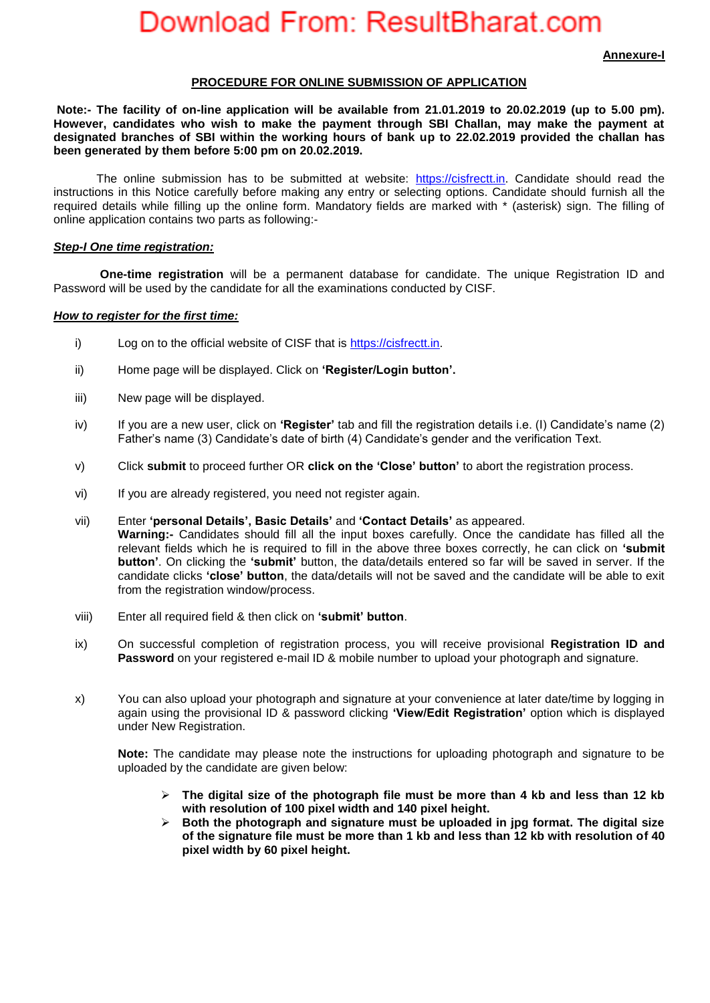**Annexure-I**

#### **PROCEDURE FOR ONLINE SUBMISSION OF APPLICATION**

**Note:- The facility of on-line application will be available from 21.01.2019 to 20.02.2019 (up to 5.00 pm). However, candidates who wish to make the payment through SBI Challan, may make the payment at designated branches of SBI within the working hours of bank up to 22.02.2019 provided the challan has been generated by them before 5:00 pm on 20.02.2019.**

The online submission has to be submitted at website: [https://cisfrectt.in.](https://cisfrectt.in/) Candidate should read the instructions in this Notice carefully before making any entry or selecting options. Candidate should furnish all the required details while filling up the online form. Mandatory fields are marked with \* (asterisk) sign. The filling of online application contains two parts as following:-

#### *Step-I One time registration:*

**One-time registration** will be a permanent database for candidate. The unique Registration ID and Password will be used by the candidate for all the examinations conducted by CISF.

#### *How to register for the first time:*

- i) Log on to the official website of CISF that is [https://cisfrectt.in.](https://cisfrectt.in/)
- ii) Home page will be displayed. Click on **'Register/Login button'.**
- iii) New page will be displayed.
- iv) If you are a new user, click on **'Register'** tab and fill the registration details i.e. (I) Candidate's name (2) Father's name (3) Candidate's date of birth (4) Candidate's gender and the verification Text.
- v) Click **submit** to proceed further OR **click on the 'Close' button'** to abort the registration process.
- vi) If you are already registered, you need not register again.
- vii) Enter **'personal Details', Basic Details'** and **'Contact Details'** as appeared. **Warning:-** Candidates should fill all the input boxes carefully. Once the candidate has filled all the relevant fields which he is required to fill in the above three boxes correctly, he can click on **'submit button'**. On clicking the **'submit'** button, the data/details entered so far will be saved in server. If the candidate clicks **'close' button**, the data/details will not be saved and the candidate will be able to exit from the registration window/process.
- viii) Enter all required field & then click on **'submit' button**.
- ix) On successful completion of registration process, you will receive provisional **Registration ID and Password** on your registered e-mail ID & mobile number to upload your photograph and signature.
- x) You can also upload your photograph and signature at your convenience at later date/time by logging in again using the provisional ID & password clicking **'View/Edit Registration'** option which is displayed under New Registration.

**Note:** The candidate may please note the instructions for uploading photograph and signature to be uploaded by the candidate are given below:

- **The digital size of the photograph file must be more than 4 kb and less than 12 kb with resolution of 100 pixel width and 140 pixel height.**
- **Both the photograph and signature must be uploaded in jpg format. The digital size of the signature file must be more than 1 kb and less than 12 kb with resolution of 40 pixel width by 60 pixel height.**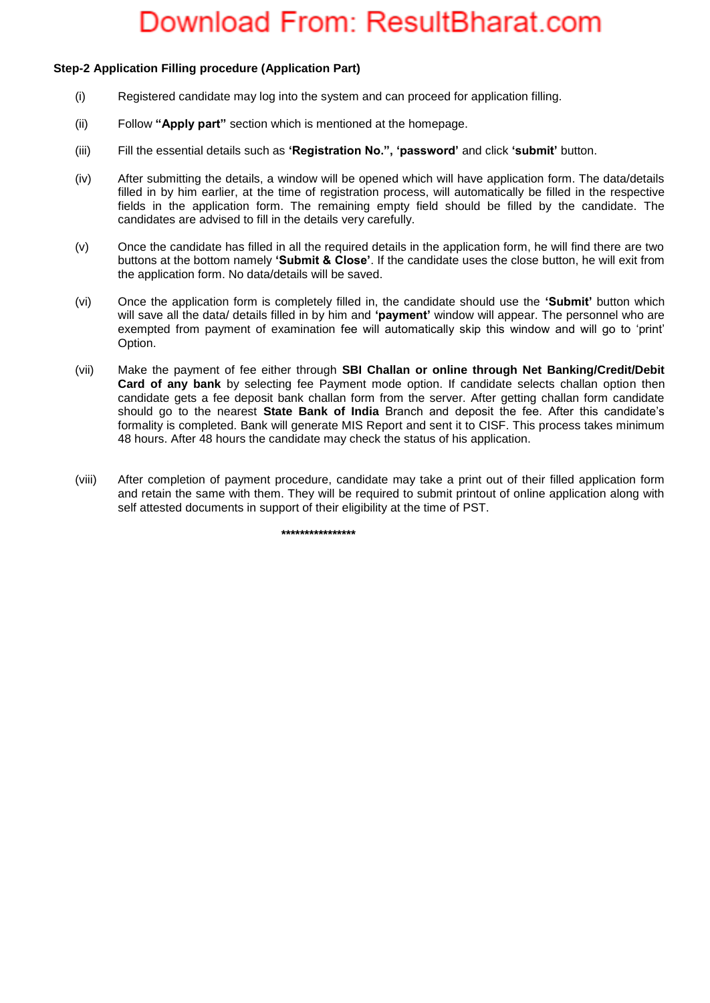### **Step-2 Application Filling procedure (Application Part)**

- (i) Registered candidate may log into the system and can proceed for application filling.
- (ii) Follow **"Apply part"** section which is mentioned at the homepage.
- (iii) Fill the essential details such as **'Registration No.", 'password'** and click **'submit'** button.
- (iv) After submitting the details, a window will be opened which will have application form. The data/details filled in by him earlier, at the time of registration process, will automatically be filled in the respective fields in the application form. The remaining empty field should be filled by the candidate. The candidates are advised to fill in the details very carefully.
- (v) Once the candidate has filled in all the required details in the application form, he will find there are two buttons at the bottom namely **'Submit & Close'**. If the candidate uses the close button, he will exit from the application form. No data/details will be saved.
- (vi) Once the application form is completely filled in, the candidate should use the **'Submit'** button which will save all the data/ details filled in by him and **'payment'** window will appear. The personnel who are exempted from payment of examination fee will automatically skip this window and will go to 'print' Option.
- (vii) Make the payment of fee either through **SBI Challan or online through Net Banking/Credit/Debit Card of any bank** by selecting fee Payment mode option. If candidate selects challan option then candidate gets a fee deposit bank challan form from the server. After getting challan form candidate should go to the nearest **State Bank of India** Branch and deposit the fee. After this candidate's formality is completed. Bank will generate MIS Report and sent it to CISF. This process takes minimum 48 hours. After 48 hours the candidate may check the status of his application.
- (viii) After completion of payment procedure, candidate may take a print out of their filled application form and retain the same with them. They will be required to submit printout of online application along with self attested documents in support of their eligibility at the time of PST.

 **\*\*\*\*\*\*\*\*\*\*\*\*\*\*\*\***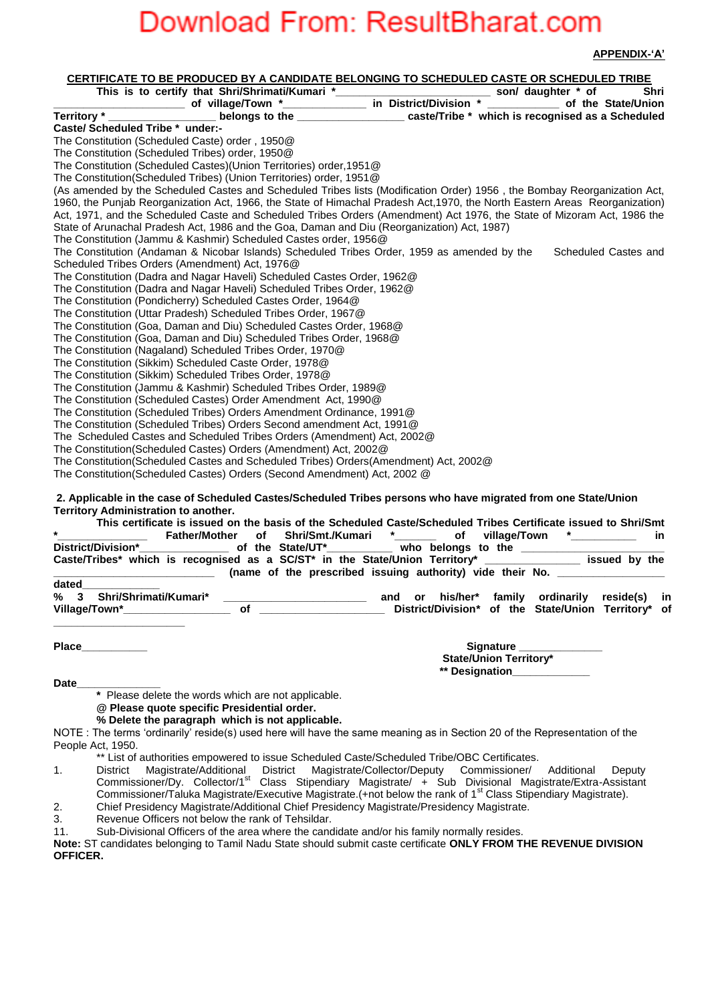**APPENDIX-'A'**

| <b>CERTIFICATE TO BE PRODUCED BY A CANDIDATE BELONGING TO SCHEDULED CASTE OR SCHEDULED TRIBE</b>                                                                                                                                                                                                                                                                                                                                                    |
|-----------------------------------------------------------------------------------------------------------------------------------------------------------------------------------------------------------------------------------------------------------------------------------------------------------------------------------------------------------------------------------------------------------------------------------------------------|
|                                                                                                                                                                                                                                                                                                                                                                                                                                                     |
|                                                                                                                                                                                                                                                                                                                                                                                                                                                     |
| Territory *                                                                                                                                                                                                                                                                                                                                                                                                                                         |
| Caste/ Scheduled Tribe * under:-                                                                                                                                                                                                                                                                                                                                                                                                                    |
| The Constitution (Scheduled Caste) order, 1950@                                                                                                                                                                                                                                                                                                                                                                                                     |
| The Constitution (Scheduled Tribes) order, 1950@                                                                                                                                                                                                                                                                                                                                                                                                    |
| The Constitution (Scheduled Castes)(Union Territories) order, 1951@                                                                                                                                                                                                                                                                                                                                                                                 |
| The Constitution(Scheduled Tribes) (Union Territories) order, 1951@                                                                                                                                                                                                                                                                                                                                                                                 |
| (As amended by the Scheduled Castes and Scheduled Tribes lists (Modification Order) 1956, the Bombay Reorganization Act,                                                                                                                                                                                                                                                                                                                            |
| 1960, the Punjab Reorganization Act, 1966, the State of Himachal Pradesh Act, 1970, the North Eastern Areas Reorganization)                                                                                                                                                                                                                                                                                                                         |
| Act, 1971, and the Scheduled Caste and Scheduled Tribes Orders (Amendment) Act 1976, the State of Mizoram Act, 1986 the                                                                                                                                                                                                                                                                                                                             |
| State of Arunachal Pradesh Act, 1986 and the Goa, Daman and Diu (Reorganization) Act, 1987)                                                                                                                                                                                                                                                                                                                                                         |
| The Constitution (Jammu & Kashmir) Scheduled Castes order, 1956@                                                                                                                                                                                                                                                                                                                                                                                    |
| The Constitution (Andaman & Nicobar Islands) Scheduled Tribes Order, 1959 as amended by the<br>Scheduled Castes and                                                                                                                                                                                                                                                                                                                                 |
| Scheduled Tribes Orders (Amendment) Act, 1976@                                                                                                                                                                                                                                                                                                                                                                                                      |
| The Constitution (Dadra and Nagar Haveli) Scheduled Castes Order, 1962@                                                                                                                                                                                                                                                                                                                                                                             |
| The Constitution (Dadra and Nagar Haveli) Scheduled Tribes Order, 1962@                                                                                                                                                                                                                                                                                                                                                                             |
| The Constitution (Pondicherry) Scheduled Castes Order, 1964@                                                                                                                                                                                                                                                                                                                                                                                        |
| The Constitution (Uttar Pradesh) Scheduled Tribes Order, 1967@                                                                                                                                                                                                                                                                                                                                                                                      |
| The Constitution (Goa, Daman and Diu) Scheduled Castes Order, 1968@                                                                                                                                                                                                                                                                                                                                                                                 |
| The Constitution (Goa, Daman and Diu) Scheduled Tribes Order, 1968@                                                                                                                                                                                                                                                                                                                                                                                 |
| The Constitution (Nagaland) Scheduled Tribes Order, 1970@                                                                                                                                                                                                                                                                                                                                                                                           |
| The Constitution (Sikkim) Scheduled Caste Order, 1978@                                                                                                                                                                                                                                                                                                                                                                                              |
| The Constitution (Sikkim) Scheduled Tribes Order, 1978@                                                                                                                                                                                                                                                                                                                                                                                             |
| The Constitution (Jammu & Kashmir) Scheduled Tribes Order, 1989@                                                                                                                                                                                                                                                                                                                                                                                    |
| The Constitution (Scheduled Castes) Order Amendment Act, 1990@                                                                                                                                                                                                                                                                                                                                                                                      |
| The Constitution (Scheduled Tribes) Orders Amendment Ordinance, 1991@                                                                                                                                                                                                                                                                                                                                                                               |
| The Constitution (Scheduled Tribes) Orders Second amendment Act, 1991@                                                                                                                                                                                                                                                                                                                                                                              |
| The Scheduled Castes and Scheduled Tribes Orders (Amendment) Act, 2002@                                                                                                                                                                                                                                                                                                                                                                             |
| The Constitution (Scheduled Castes) Orders (Amendment) Act, 2002@                                                                                                                                                                                                                                                                                                                                                                                   |
| The Constitution(Scheduled Castes and Scheduled Tribes) Orders(Amendment) Act, 2002@                                                                                                                                                                                                                                                                                                                                                                |
| The Constitution(Scheduled Castes) Orders (Second Amendment) Act, 2002 @                                                                                                                                                                                                                                                                                                                                                                            |
|                                                                                                                                                                                                                                                                                                                                                                                                                                                     |
| 2. Applicable in the case of Scheduled Castes/Scheduled Tribes persons who have migrated from one State/Union<br>Territory Administration to another.                                                                                                                                                                                                                                                                                               |
| This certificate is issued on the basis of the Scheduled Caste/Scheduled Tribes Certificate issued to Shri/Smt                                                                                                                                                                                                                                                                                                                                      |
| Shri/Smt./Kumari<br>$\star$<br>of<br><b>Father/Mother</b><br>of<br>village/Town<br>in.                                                                                                                                                                                                                                                                                                                                                              |
| of the State/UT*___________ who belongs to the __________________________________<br>District/Division*                                                                                                                                                                                                                                                                                                                                             |
| Caste/Tribes* which is recognised as a SC/ST* in the State/Union Territory* ________________ issued by the                                                                                                                                                                                                                                                                                                                                          |
| (name of the prescribed issuing authority) vide their No.                                                                                                                                                                                                                                                                                                                                                                                           |
| dated                                                                                                                                                                                                                                                                                                                                                                                                                                               |
| Shri/Shrimati/Kumari*<br>or his/her* family ordinarily<br>℅<br>3<br>and<br>reside(s)<br>in                                                                                                                                                                                                                                                                                                                                                          |
| Village/Town*_________________<br>$\bullet$ of $\bullet$ and $\bullet$ and $\bullet$ and $\bullet$ and $\bullet$ and $\bullet$ and $\bullet$ and $\bullet$ and $\bullet$ and $\bullet$ and $\bullet$ and $\bullet$ and $\bullet$ and $\bullet$ and $\bullet$ and $\bullet$ and $\bullet$ and $\bullet$ and $\bullet$ and $\bullet$ and $\bullet$ and $\bullet$ and $\bullet$ and $\bullet$ a<br>District/Division* of the State/Union Territory* of |
|                                                                                                                                                                                                                                                                                                                                                                                                                                                     |

| Place | <b>Signature</b>              |
|-------|-------------------------------|
|       | <b>State/Union Territory*</b> |
|       | ** Designation_               |

**Date\_\_\_\_\_\_\_\_\_\_\_\_\_\_**

**\*** Please delete the words which are not applicable.

**@ Please quote specific Presidential order.**

**% Delete the paragraph which is not applicable.** 

NOTE : The terms 'ordinarily' reside(s) used here will have the same meaning as in Section 20 of the Representation of the People Act, 1950.

\*\* List of authorities empowered to issue Scheduled Caste/Scheduled Tribe/OBC Certificates.

1. District Magistrate/Additional District Magistrate/Collector/Deputy Commissioner/ Additional Deputy Commissioner/Dy. Collector/1<sup>st</sup> Class Stipendiary Magistrate/ + Sub Divisional Magistrate/Extra-Assistant Commissioner/Taluka Magistrate/Executive Magistrate.(+not below the rank of 1<sup>st</sup> Class Stipendiary Magistrate). 2. Chief Presidency Magistrate/Additional Chief Presidency Magistrate/Presidency Magistrate.

3. Revenue Officers not below the rank of Tehsildar.

11. Sub-Divisional Officers of the area where the candidate and/or his family normally resides.

**Note:** ST candidates belonging to Tamil Nadu State should submit caste certificate **ONLY FROM THE REVENUE DIVISION OFFICER.**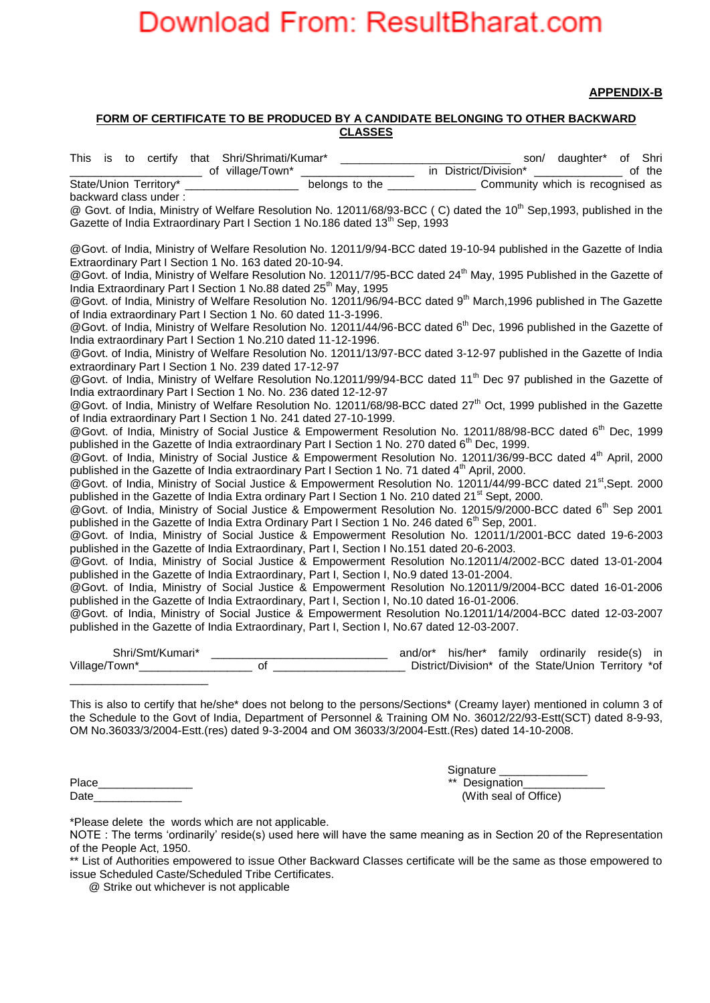**APPENDIX-B**

#### **FORM OF CERTIFICATE TO BE PRODUCED BY A CANDIDATE BELONGING TO OTHER BACKWARD CLASSES**

| This is to certify that Shri/Shrimati/Kumar* _____________<br>of village/Town*                               | son/ daughter* of Shri<br>in District/Division*<br>of the<br>$\mathcal{L}^{\text{max}}_{\text{max}}$ .                          |  |
|--------------------------------------------------------------------------------------------------------------|---------------------------------------------------------------------------------------------------------------------------------|--|
| State/Union Territory*                                                                                       |                                                                                                                                 |  |
| backward class under:                                                                                        |                                                                                                                                 |  |
|                                                                                                              | @ Govt. of India, Ministry of Welfare Resolution No. 12011/68/93-BCC (C) dated the 10 <sup>th</sup> Sep,1993, published in the  |  |
| Gazette of India Extraordinary Part I Section 1 No.186 dated 13 <sup>th</sup> Sep, 1993                      |                                                                                                                                 |  |
|                                                                                                              | @Govt. of India, Ministry of Welfare Resolution No. 12011/9/94-BCC dated 19-10-94 published in the Gazette of India             |  |
| Extraordinary Part I Section 1 No. 163 dated 20-10-94.                                                       |                                                                                                                                 |  |
| India Extraordinary Part I Section 1 No.88 dated 25 <sup>th</sup> May, 1995                                  | @Govt. of India, Ministry of Welfare Resolution No. 12011/7/95-BCC dated 24 <sup>th</sup> May, 1995 Published in the Gazette of |  |
|                                                                                                              | @Govt. of India, Ministry of Welfare Resolution No. 12011/96/94-BCC dated 9 <sup>th</sup> March, 1996 published in The Gazette  |  |
| of India extraordinary Part I Section 1 No. 60 dated 11-3-1996.                                              |                                                                                                                                 |  |
|                                                                                                              | @Govt. of India, Ministry of Welfare Resolution No. 12011/44/96-BCC dated 6 <sup>th</sup> Dec, 1996 published in the Gazette of |  |
| India extraordinary Part I Section 1 No.210 dated 11-12-1996.                                                |                                                                                                                                 |  |
|                                                                                                              | @Govt. of India, Ministry of Welfare Resolution No. 12011/13/97-BCC dated 3-12-97 published in the Gazette of India             |  |
| extraordinary Part I Section 1 No. 239 dated 17-12-97                                                        | @Govt. of India, Ministry of Welfare Resolution No.12011/99/94-BCC dated 11 <sup>th</sup> Dec 97 published in the Gazette of    |  |
| India extraordinary Part I Section 1 No. No. 236 dated 12-12-97                                              |                                                                                                                                 |  |
|                                                                                                              | @Govt. of India, Ministry of Welfare Resolution No. 12011/68/98-BCC dated 27 <sup>th</sup> Oct, 1999 published in the Gazette   |  |
| of India extraordinary Part I Section 1 No. 241 dated 27-10-1999.                                            |                                                                                                                                 |  |
|                                                                                                              | @Govt. of India, Ministry of Social Justice & Empowerment Resolution No. 12011/88/98-BCC dated 6 <sup>th</sup> Dec, 1999        |  |
| published in the Gazette of India extraordinary Part I Section 1 No. 270 dated $6th$ Dec, 1999.              |                                                                                                                                 |  |
| published in the Gazette of India extraordinary Part I Section 1 No. 71 dated 4 <sup>th</sup> April, 2000.   | @Govt. of India, Ministry of Social Justice & Empowerment Resolution No. 12011/36/99-BCC dated 4 <sup>th</sup> April, 2000      |  |
|                                                                                                              | @Govt. of India, Ministry of Social Justice & Empowerment Resolution No. 12011/44/99-BCC dated 21 <sup>st</sup> , Sept. 2000    |  |
| published in the Gazette of India Extra ordinary Part I Section 1 No. 210 dated 21 <sup>st</sup> Sept, 2000. |                                                                                                                                 |  |
|                                                                                                              | @Govt. of India, Ministry of Social Justice & Empowerment Resolution No. 12015/9/2000-BCC dated 6 <sup>th</sup> Sep 2001        |  |
| published in the Gazette of India Extra Ordinary Part I Section 1 No. 246 dated 6 <sup>th</sup> Sep, 2001.   |                                                                                                                                 |  |
|                                                                                                              | @Govt. of India, Ministry of Social Justice & Empowerment Resolution No. 12011/1/2001-BCC dated 19-6-2003                       |  |
| published in the Gazette of India Extraordinary, Part I, Section I No.151 dated 20-6-2003.                   |                                                                                                                                 |  |
|                                                                                                              | @Govt. of India, Ministry of Social Justice & Empowerment Resolution No.12011/4/2002-BCC dated 13-01-2004                       |  |
| published in the Gazette of India Extraordinary, Part I, Section I, No.9 dated 13-01-2004.                   |                                                                                                                                 |  |
|                                                                                                              | @Govt. of India, Ministry of Social Justice & Empowerment Resolution No.12011/9/2004-BCC dated 16-01-2006                       |  |
| published in the Gazette of India Extraordinary, Part I, Section I, No.10 dated 16-01-2006.                  |                                                                                                                                 |  |
|                                                                                                              | @Govt. of India, Ministry of Social Justice & Empowerment Resolution No.12011/14/2004-BCC dated 12-03-2007                      |  |
| published in the Gazette of India Extraordinary, Part I, Section I, No.67 dated 12-03-2007.                  |                                                                                                                                 |  |
| $\sim$ $\sim$ $\sim$ $\sim$ $\sim$ $\sim$                                                                    |                                                                                                                                 |  |

Shri/Smt/Kumari\* \_\_\_\_\_\_\_\_\_\_\_\_\_\_\_\_\_\_\_\_\_\_\_\_\_\_\_\_ and/or\* his/her\* family ordinarily reside(s) in Village/Town\*\_\_\_\_\_\_\_\_\_\_\_\_\_\_\_\_\_\_ of \_\_\_\_\_\_\_\_\_\_\_\_\_\_\_\_\_\_\_\_\_ District/Division\* of the State/Union Territory \*of \_\_\_\_\_\_\_\_\_\_\_\_\_\_\_\_\_\_\_\_\_\_

This is also to certify that he/she\* does not belong to the persons/Sections\* (Creamy layer) mentioned in column 3 of the Schedule to the Govt of India, Department of Personnel & Training OM No. 36012/22/93-Estt(SCT) dated 8-9-93, OM No.36033/3/2004-Estt.(res) dated 9-3-2004 and OM 36033/3/2004-Estt.(Res) dated 14-10-2008.

Date\_\_\_\_\_\_\_\_\_\_\_\_\_\_ (With seal of Office)

 Signature \_\_\_\_\_\_\_\_\_\_\_\_\_\_ Place\_\_\_\_\_\_\_\_\_\_\_\_\_\_\_ \*\* Designation\_\_\_\_\_\_\_\_\_\_\_\_\_

\*Please delete the words which are not applicable.

NOTE : The terms 'ordinarily' reside(s) used here will have the same meaning as in Section 20 of the Representation of the People Act, 1950.

\*\* List of Authorities empowered to issue Other Backward Classes certificate will be the same as those empowered to issue Scheduled Caste/Scheduled Tribe Certificates.

@ Strike out whichever is not applicable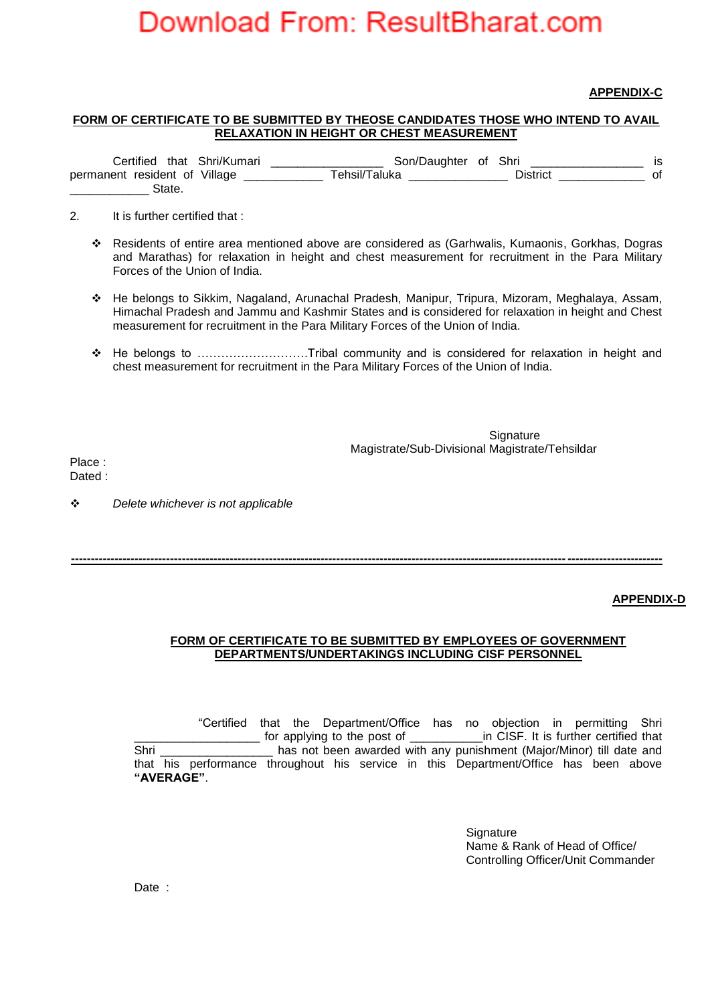### **APPENDIX-C**

### **FORM OF CERTIFICATE TO BE SUBMITTED BY THEOSE CANDIDATES THOSE WHO INTEND TO AVAIL RELAXATION IN HEIGHT OR CHEST MEASUREMENT**

| <i>:</i> ertified             | that Shri/Kumari | Son/Daughter              | ot | Shri    |    |
|-------------------------------|------------------|---------------------------|----|---------|----|
| permanent resident of Village |                  | <sup>-</sup> ehsil/Taluka |    | Jistric | Οt |
| 3tate                         |                  |                           |    |         |    |

2. It is further certified that :

- Residents of entire area mentioned above are considered as (Garhwalis, Kumaonis, Gorkhas, Dogras and Marathas) for relaxation in height and chest measurement for recruitment in the Para Military Forces of the Union of India.
- He belongs to Sikkim, Nagaland, Arunachal Pradesh, Manipur, Tripura, Mizoram, Meghalaya, Assam, Himachal Pradesh and Jammu and Kashmir States and is considered for relaxation in height and Chest measurement for recruitment in the Para Military Forces of the Union of India.
- He belongs to ……………………….Tribal community and is considered for relaxation in height and chest measurement for recruitment in the Para Military Forces of the Union of India.

**Signature** Magistrate/Sub-Divisional Magistrate/Tehsildar

Place : Dated :

*Delete whichever is not applicable*

**APPENDIX-D**

### **FORM OF CERTIFICATE TO BE SUBMITTED BY EMPLOYEES OF GOVERNMENT DEPARTMENTS/UNDERTAKINGS INCLUDING CISF PERSONNEL**

**-----------------------------------------------------------------------------------------------------------------------------------------------------**

"Certified that the Department/Office has no objection in permitting Shri for applying to the post of **Example 1** in CISF. It is further certified that Shri \_\_\_\_\_\_\_\_\_\_\_\_\_\_\_\_\_ has not been awarded with any punishment (Major/Minor) till date and that his performance throughout his service in this Department/Office has been above **"AVERAGE"**.

> **Signature**  Name & Rank of Head of Office/ Controlling Officer/Unit Commander

Date :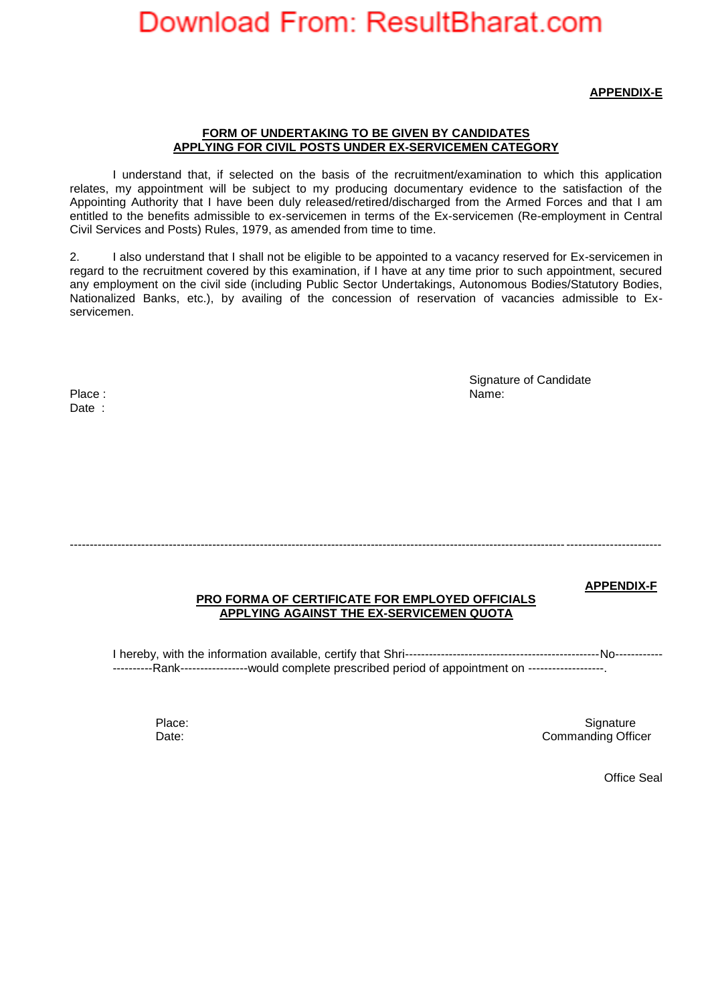**APPENDIX-E**

#### **FORM OF UNDERTAKING TO BE GIVEN BY CANDIDATES APPLYING FOR CIVIL POSTS UNDER EX-SERVICEMEN CATEGORY**

I understand that, if selected on the basis of the recruitment/examination to which this application relates, my appointment will be subject to my producing documentary evidence to the satisfaction of the Appointing Authority that I have been duly released/retired/discharged from the Armed Forces and that I am entitled to the benefits admissible to ex-servicemen in terms of the Ex-servicemen (Re-employment in Central Civil Services and Posts) Rules, 1979, as amended from time to time.

2. I also understand that I shall not be eligible to be appointed to a vacancy reserved for Ex-servicemen in regard to the recruitment covered by this examination, if I have at any time prior to such appointment, secured any employment on the civil side (including Public Sector Undertakings, Autonomous Bodies/Statutory Bodies, Nationalized Banks, etc.), by availing of the concession of reservation of vacancies admissible to Exservicemen.

Place : Name: Name: Name: Name: Name: Name: Name: Name: Name: Name: Name: Name: Name: Name: Name: Name: Name: Name: Name: Name: Name: Name: Name: Name: Name: Name: Name: Name: Name: Name: Name: Name: Name: Name: Name: Name Date :

Signature of Candidate

-----------------------------------------------------------------------------------------------------------------------------------------------------

**APPENDIX-F**

### **PRO FORMA OF CERTIFICATE FOR EMPLOYED OFFICIALS APPLYING AGAINST THE EX-SERVICEMEN QUOTA**

I hereby, with the information available, certify that Shri-------------------------------------------------No------------ -----------Rank-----------------would complete prescribed period of appointment on --------------------

Place: Signature Signature (September 2018) and the set of the Signature of Signature Signature (Signature of the Signature of the Signature of the Signature of the Signature of the Signature of the Signature of the Signat Date: Commanding Officer

Office Seal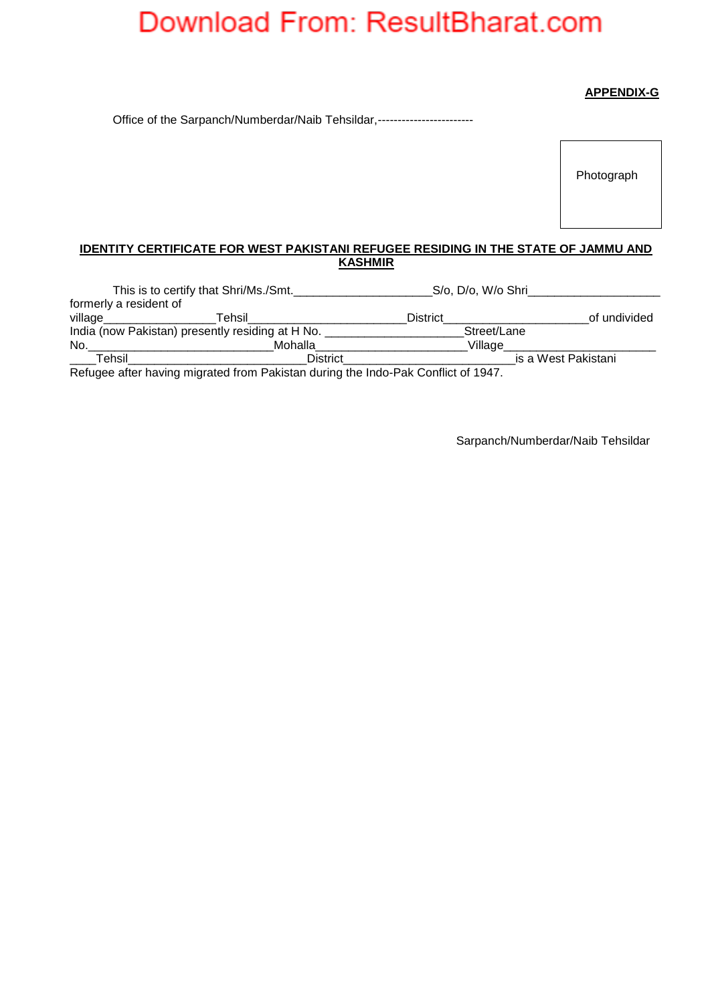## **APPENDIX-G**

Office of the Sarpanch/Numberdar/Naib Tehsildar,------------------------

Photograph

## **IDENTITY CERTIFICATE FOR WEST PAKISTANI REFUGEE RESIDING IN THE STATE OF JAMMU AND KASHMIR**

|                        | This is to certify that Shri/Ms./Smt.                                            | S/o, D/o, W/o Shri |                     |
|------------------------|----------------------------------------------------------------------------------|--------------------|---------------------|
| formerly a resident of |                                                                                  |                    |                     |
| village                | Tehsil                                                                           | <b>District</b>    | of undivided        |
|                        | India (now Pakistan) presently residing at H No.                                 | Street/Lane        |                     |
| No.                    | Mohalla                                                                          | Village            |                     |
| Tehsil                 | <b>District</b>                                                                  |                    | is a West Pakistani |
|                        | Refugee after baying migrated from Pakistan during the Indo-Pak Conflict of 1947 |                    |                     |

Refugee after having migrated from Pakistan during the Indo-Pak Conflict of 1947.

Sarpanch/Numberdar/Naib Tehsildar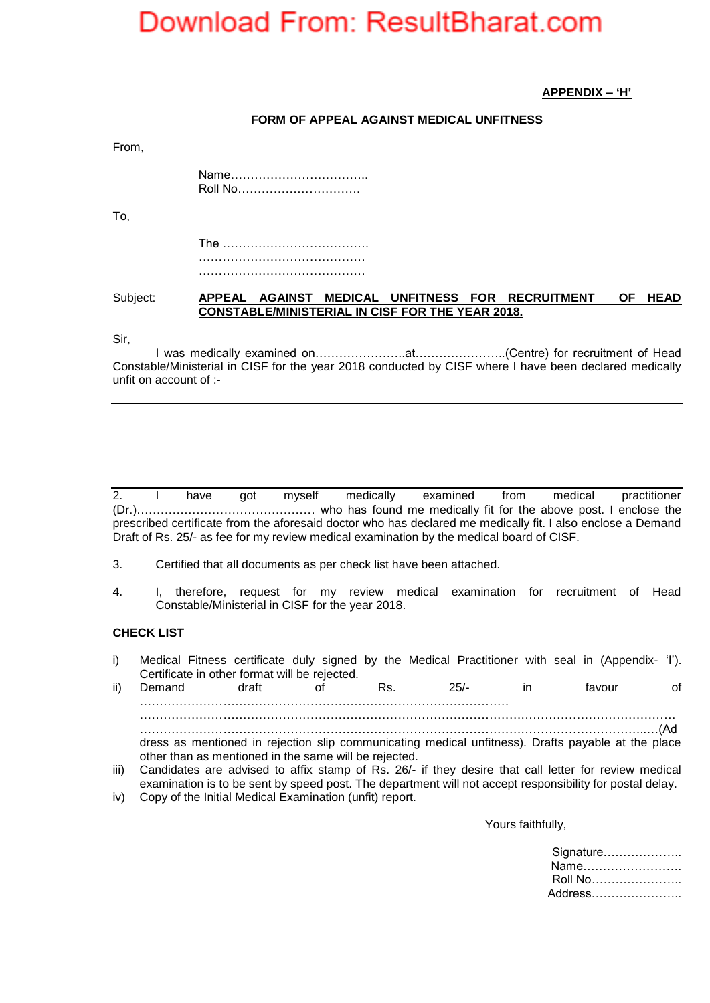**APPENDIX – 'H'**

### **FORM OF APPEAL AGAINST MEDICAL UNFITNESS**

From,

Name…………………………….. Roll No………………………….

To,

The ………………………………. ……………………………………

Subject: **APPEAL AGAINST MEDICAL UNFITNESS FOR RECRUITMENT OF HEAD CONSTABLE/MINISTERIAL IN CISF FOR THE YEAR 2018.**

Sir,

I was medically examined on…………………..at…………………..(Centre) for recruitment of Head Constable/Ministerial in CISF for the year 2018 conducted by CISF where I have been declared medically unfit on account of :-

2. I have got myself medically examined from medical practitioner (Dr.)……………………………………… who has found me medically fit for the above post. I enclose the prescribed certificate from the aforesaid doctor who has declared me medically fit. I also enclose a Demand Draft of Rs. 25/- as fee for my review medical examination by the medical board of CISF.

- 3. Certified that all documents as per check list have been attached.
- 4. I, therefore, request for my review medical examination for recruitment of Head Constable/Ministerial in CISF for the year 2018.

#### **CHECK LIST**

i) Medical Fitness certificate duly signed by the Medical Practitioner with seal in (Appendix- 'I'). Certificate in other format will be rejected.

ii) Demand draft of Rs. 25/- in favour of ………………………………………………………………………………… ……………………………………………………………………………………………………………………… ………………………………………………………………………………………………………………..…(Ad dress as mentioned in rejection slip communicating medical unfitness). Drafts payable at the place other than as mentioned in the same will be rejected.

- iii) Candidates are advised to affix stamp of Rs. 26/- if they desire that call letter for review medical examination is to be sent by speed post. The department will not accept responsibility for postal delay.
- iv) Copy of the Initial Medical Examination (unfit) report.

Yours faithfully,

Signature……………….. Name……………………. Roll No………………….. Address…………………..